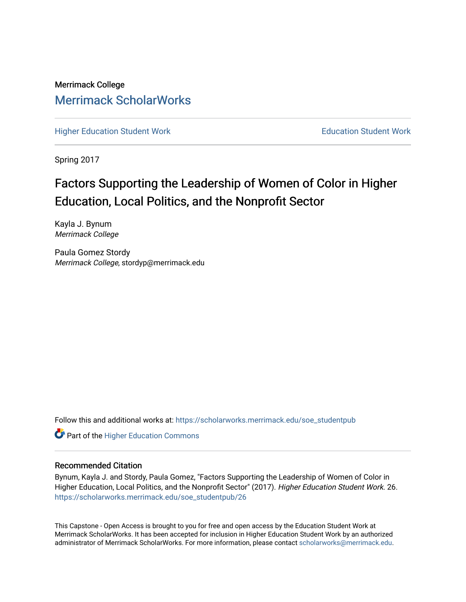Merrimack College [Merrimack ScholarWorks](https://scholarworks.merrimack.edu/) 

[Higher Education Student Work](https://scholarworks.merrimack.edu/soe_studentpub) **Education Student Work** Education Student Work

Spring 2017

# Factors Supporting the Leadership of Women of Color in Higher Education, Local Politics, and the Nonprofit Sector

Kayla J. Bynum Merrimack College

Paula Gomez Stordy Merrimack College, stordyp@merrimack.edu

Follow this and additional works at: [https://scholarworks.merrimack.edu/soe\\_studentpub](https://scholarworks.merrimack.edu/soe_studentpub?utm_source=scholarworks.merrimack.edu%2Fsoe_studentpub%2F26&utm_medium=PDF&utm_campaign=PDFCoverPages) 

**Part of the Higher Education Commons** 

#### Recommended Citation

Bynum, Kayla J. and Stordy, Paula Gomez, "Factors Supporting the Leadership of Women of Color in Higher Education, Local Politics, and the Nonprofit Sector" (2017). Higher Education Student Work. 26. [https://scholarworks.merrimack.edu/soe\\_studentpub/26](https://scholarworks.merrimack.edu/soe_studentpub/26?utm_source=scholarworks.merrimack.edu%2Fsoe_studentpub%2F26&utm_medium=PDF&utm_campaign=PDFCoverPages) 

This Capstone - Open Access is brought to you for free and open access by the Education Student Work at Merrimack ScholarWorks. It has been accepted for inclusion in Higher Education Student Work by an authorized administrator of Merrimack ScholarWorks. For more information, please contact [scholarworks@merrimack.edu](mailto:scholarworks@merrimack.edu).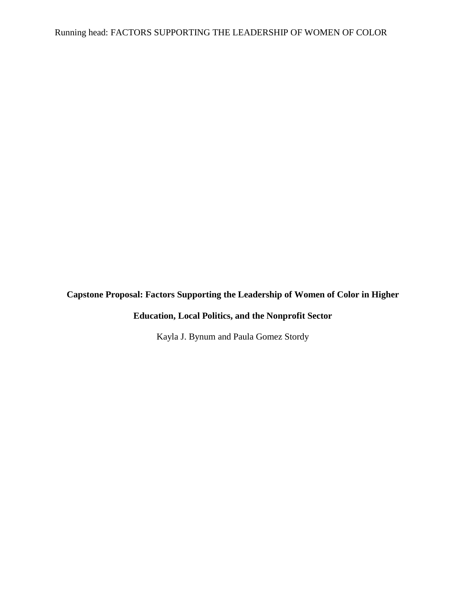# **Capstone Proposal: Factors Supporting the Leadership of Women of Color in Higher**

# **Education, Local Politics, and the Nonprofit Sector**

Kayla J. Bynum and Paula Gomez Stordy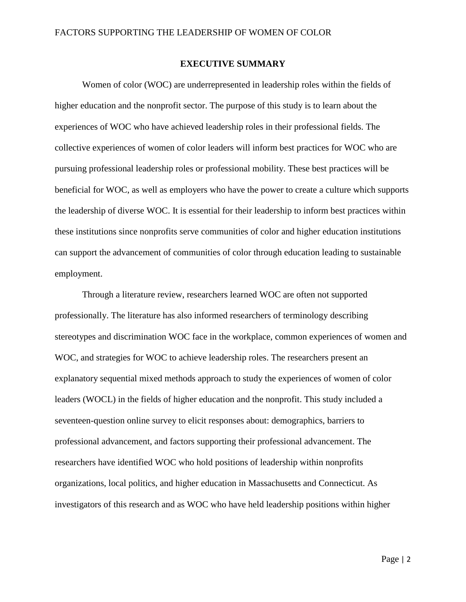# **EXECUTIVE SUMMARY**

Women of color (WOC) are underrepresented in leadership roles within the fields of higher education and the nonprofit sector. The purpose of this study is to learn about the experiences of WOC who have achieved leadership roles in their professional fields. The collective experiences of women of color leaders will inform best practices for WOC who are pursuing professional leadership roles or professional mobility. These best practices will be beneficial for WOC, as well as employers who have the power to create a culture which supports the leadership of diverse WOC. It is essential for their leadership to inform best practices within these institutions since nonprofits serve communities of color and higher education institutions can support the advancement of communities of color through education leading to sustainable employment.

Through a literature review, researchers learned WOC are often not supported professionally. The literature has also informed researchers of terminology describing stereotypes and discrimination WOC face in the workplace, common experiences of women and WOC, and strategies for WOC to achieve leadership roles. The researchers present an explanatory sequential mixed methods approach to study the experiences of women of color leaders (WOCL) in the fields of higher education and the nonprofit. This study included a seventeen-question online survey to elicit responses about: demographics, barriers to professional advancement, and factors supporting their professional advancement. The researchers have identified WOC who hold positions of leadership within nonprofits organizations, local politics, and higher education in Massachusetts and Connecticut. As investigators of this research and as WOC who have held leadership positions within higher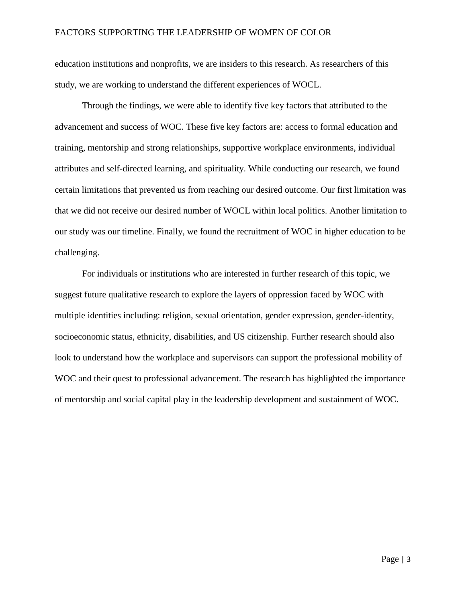education institutions and nonprofits, we are insiders to this research. As researchers of this study, we are working to understand the different experiences of WOCL.

Through the findings, we were able to identify five key factors that attributed to the advancement and success of WOC. These five key factors are: access to formal education and training, mentorship and strong relationships, supportive workplace environments, individual attributes and self-directed learning, and spirituality. While conducting our research, we found certain limitations that prevented us from reaching our desired outcome. Our first limitation was that we did not receive our desired number of WOCL within local politics. Another limitation to our study was our timeline. Finally, we found the recruitment of WOC in higher education to be challenging.

For individuals or institutions who are interested in further research of this topic, we suggest future qualitative research to explore the layers of oppression faced by WOC with multiple identities including: religion, sexual orientation, gender expression, gender-identity, socioeconomic status, ethnicity, disabilities, and US citizenship. Further research should also look to understand how the workplace and supervisors can support the professional mobility of WOC and their quest to professional advancement. The research has highlighted the importance of mentorship and social capital play in the leadership development and sustainment of WOC.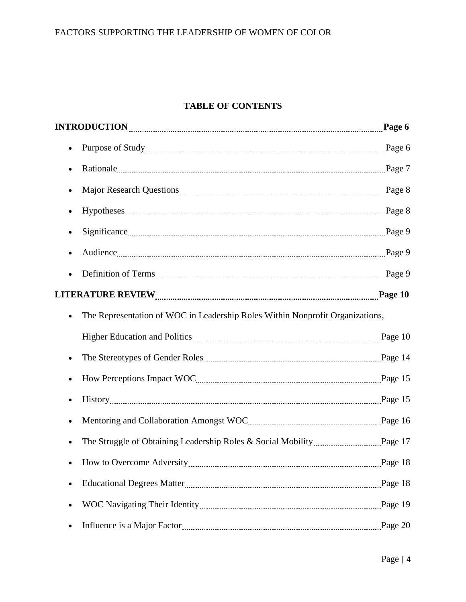# **TABLE OF CONTENTS**

|                                                                               | Page 7  |
|-------------------------------------------------------------------------------|---------|
|                                                                               |         |
|                                                                               |         |
|                                                                               |         |
|                                                                               |         |
|                                                                               |         |
| Audience Page 9<br>$\bullet$                                                  |         |
|                                                                               |         |
|                                                                               |         |
| The Representation of WOC in Leadership Roles Within Nonprofit Organizations, |         |
|                                                                               |         |
|                                                                               |         |
|                                                                               |         |
|                                                                               |         |
|                                                                               |         |
|                                                                               |         |
| How to Overcome Adversity Manuscritty Page 18                                 |         |
|                                                                               | Page 18 |
|                                                                               |         |
|                                                                               | Page 20 |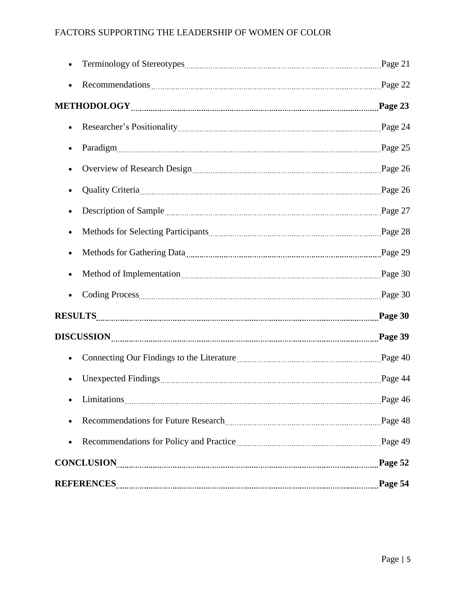| Recommendations Page 22                                                                                                                                                                                                        |         |
|--------------------------------------------------------------------------------------------------------------------------------------------------------------------------------------------------------------------------------|---------|
|                                                                                                                                                                                                                                |         |
| $\bullet$                                                                                                                                                                                                                      |         |
|                                                                                                                                                                                                                                |         |
| Overview of Research Design [100] Page 26                                                                                                                                                                                      |         |
| Quality Criteria 26                                                                                                                                                                                                            |         |
| Description of Sample <u>manual contracts</u> and all the page 27                                                                                                                                                              |         |
|                                                                                                                                                                                                                                |         |
| Methods for Gathering Data [10] Data [29] Methods for Gathering Data [29] Methods for Gathering Data [29] Methods for Gathering Data [29] Methods for Gathering Data [29] Methods and Methods and Methods and Methods and Meth |         |
|                                                                                                                                                                                                                                |         |
| Coding Process Page 30                                                                                                                                                                                                         |         |
|                                                                                                                                                                                                                                |         |
|                                                                                                                                                                                                                                |         |
| Connecting Our Findings to the Literature <b>Manual Connecting Our Findings</b> to the Literature <b>Manual Connection</b> Page 40                                                                                             |         |
|                                                                                                                                                                                                                                | Page 44 |
| Limitations Page 46                                                                                                                                                                                                            |         |
| Recommendations for Future Research Manuscritt and Page 48                                                                                                                                                                     |         |
| Recommendations for Policy and Practice <b>Manual</b> Equation 2.19 Page 49<br>$\bullet$                                                                                                                                       |         |
|                                                                                                                                                                                                                                |         |
|                                                                                                                                                                                                                                |         |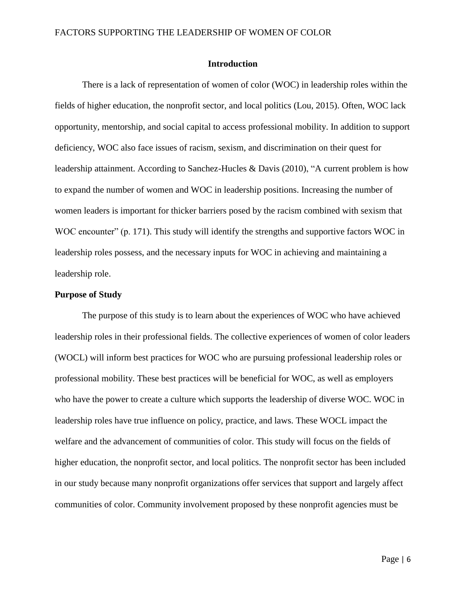### **Introduction**

There is a lack of representation of women of color (WOC) in leadership roles within the fields of higher education, the nonprofit sector, and local politics (Lou, 2015). Often, WOC lack opportunity, mentorship, and social capital to access professional mobility. In addition to support deficiency, WOC also face issues of racism, sexism, and discrimination on their quest for leadership attainment. According to Sanchez-Hucles & Davis (2010), "A current problem is how to expand the number of women and WOC in leadership positions. Increasing the number of women leaders is important for thicker barriers posed by the racism combined with sexism that WOC encounter" (p. 171). This study will identify the strengths and supportive factors WOC in leadership roles possess, and the necessary inputs for WOC in achieving and maintaining a leadership role.

#### **Purpose of Study**

The purpose of this study is to learn about the experiences of WOC who have achieved leadership roles in their professional fields. The collective experiences of women of color leaders (WOCL) will inform best practices for WOC who are pursuing professional leadership roles or professional mobility. These best practices will be beneficial for WOC, as well as employers who have the power to create a culture which supports the leadership of diverse WOC. WOC in leadership roles have true influence on policy, practice, and laws. These WOCL impact the welfare and the advancement of communities of color. This study will focus on the fields of higher education, the nonprofit sector, and local politics. The nonprofit sector has been included in our study because many nonprofit organizations offer services that support and largely affect communities of color. Community involvement proposed by these nonprofit agencies must be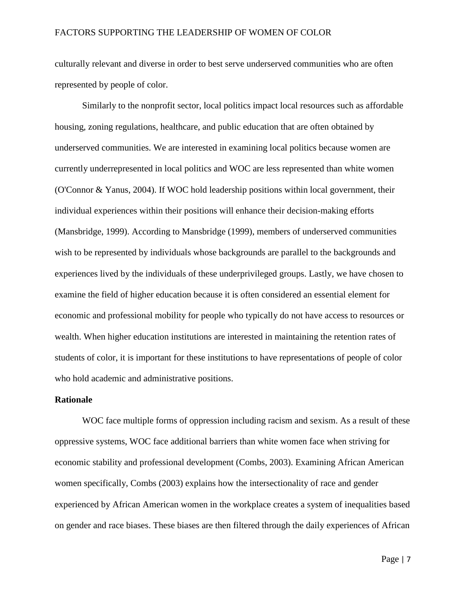culturally relevant and diverse in order to best serve underserved communities who are often represented by people of color.

Similarly to the nonprofit sector, local politics impact local resources such as affordable housing, zoning regulations, healthcare, and public education that are often obtained by underserved communities. We are interested in examining local politics because women are currently underrepresented in local politics and WOC are less represented than white women (O'Connor & Yanus, 2004). If WOC hold leadership positions within local government, their individual experiences within their positions will enhance their decision-making efforts (Mansbridge, 1999). According to Mansbridge (1999), members of underserved communities wish to be represented by individuals whose backgrounds are parallel to the backgrounds and experiences lived by the individuals of these underprivileged groups. Lastly, we have chosen to examine the field of higher education because it is often considered an essential element for economic and professional mobility for people who typically do not have access to resources or wealth. When higher education institutions are interested in maintaining the retention rates of students of color, it is important for these institutions to have representations of people of color who hold academic and administrative positions.

#### **Rationale**

WOC face multiple forms of oppression including racism and sexism. As a result of these oppressive systems, WOC face additional barriers than white women face when striving for economic stability and professional development (Combs, 2003). Examining African American women specifically, Combs (2003) explains how the intersectionality of race and gender experienced by African American women in the workplace creates a system of inequalities based on gender and race biases. These biases are then filtered through the daily experiences of African

Page | 7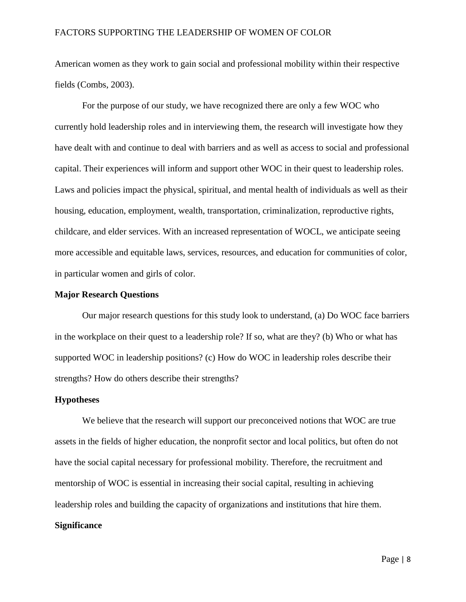American women as they work to gain social and professional mobility within their respective fields (Combs, 2003).

For the purpose of our study, we have recognized there are only a few WOC who currently hold leadership roles and in interviewing them, the research will investigate how they have dealt with and continue to deal with barriers and as well as access to social and professional capital. Their experiences will inform and support other WOC in their quest to leadership roles. Laws and policies impact the physical, spiritual, and mental health of individuals as well as their housing, education, employment, wealth, transportation, criminalization, reproductive rights, childcare, and elder services. With an increased representation of WOCL, we anticipate seeing more accessible and equitable laws, services, resources, and education for communities of color, in particular women and girls of color.

#### **Major Research Questions**

Our major research questions for this study look to understand, (a) Do WOC face barriers in the workplace on their quest to a leadership role? If so, what are they? (b) Who or what has supported WOC in leadership positions? (c) How do WOC in leadership roles describe their strengths? How do others describe their strengths?

#### **Hypotheses**

We believe that the research will support our preconceived notions that WOC are true assets in the fields of higher education, the nonprofit sector and local politics, but often do not have the social capital necessary for professional mobility. Therefore, the recruitment and mentorship of WOC is essential in increasing their social capital, resulting in achieving leadership roles and building the capacity of organizations and institutions that hire them.

# **Significance**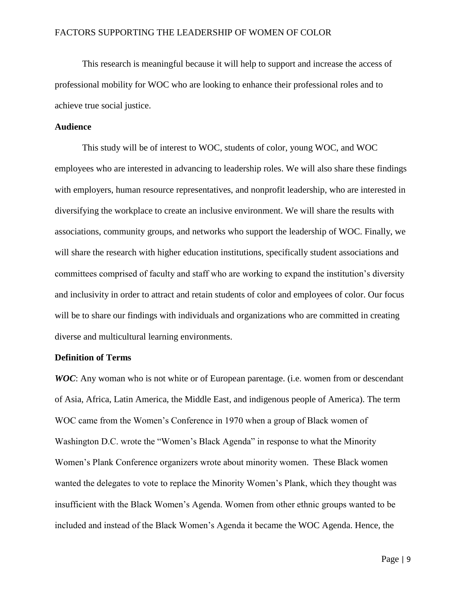This research is meaningful because it will help to support and increase the access of professional mobility for WOC who are looking to enhance their professional roles and to achieve true social justice.

# **Audience**

This study will be of interest to WOC, students of color, young WOC, and WOC employees who are interested in advancing to leadership roles. We will also share these findings with employers, human resource representatives, and nonprofit leadership, who are interested in diversifying the workplace to create an inclusive environment. We will share the results with associations, community groups, and networks who support the leadership of WOC. Finally, we will share the research with higher education institutions, specifically student associations and committees comprised of faculty and staff who are working to expand the institution's diversity and inclusivity in order to attract and retain students of color and employees of color. Our focus will be to share our findings with individuals and organizations who are committed in creating diverse and multicultural learning environments.

#### **Definition of Terms**

*WOC*: Any woman who is not white or of European parentage. (i.e. women from or descendant of Asia, Africa, Latin America, the Middle East, and indigenous people of America). The term WOC came from the Women's Conference in 1970 when a group of Black women of Washington D.C. wrote the "Women's Black Agenda" in response to what the Minority Women's Plank Conference organizers wrote about minority women. These Black women wanted the delegates to vote to replace the Minority Women's Plank, which they thought was insufficient with the Black Women's Agenda. Women from other ethnic groups wanted to be included and instead of the Black Women's Agenda it became the WOC Agenda. Hence, the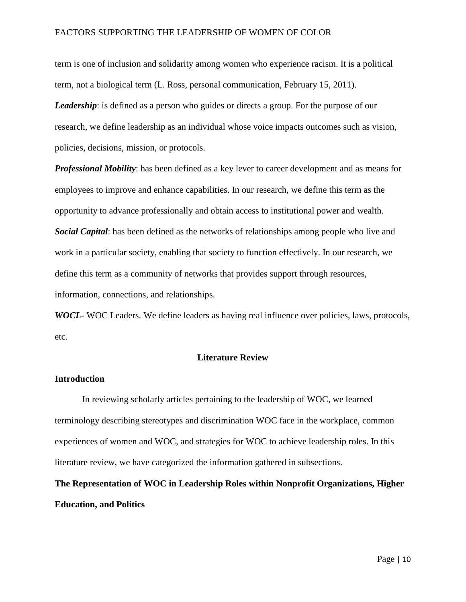term is one of inclusion and solidarity among women who experience racism. It is a political term, not a biological term (L. Ross, personal communication, February 15, 2011). *Leadership*: is defined as a person who guides or directs a group. For the purpose of our research, we define leadership as an individual whose voice impacts outcomes such as vision, policies, decisions, mission, or protocols.

*Professional Mobility*: has been defined as a key lever to career development and as means for employees to improve and enhance capabilities. In our research, we define this term as the opportunity to advance professionally and obtain access to institutional power and wealth. *Social Capital*: has been defined as the networks of relationships among people who live and work in a particular society, enabling that society to function effectively. In our research, we define this term as a community of networks that provides support through resources, information, connections, and relationships.

*WOCL*- WOC Leaders. We define leaders as having real influence over policies, laws, protocols, etc.

#### **Literature Review**

#### **Introduction**

In reviewing scholarly articles pertaining to the leadership of WOC, we learned terminology describing stereotypes and discrimination WOC face in the workplace, common experiences of women and WOC, and strategies for WOC to achieve leadership roles. In this literature review, we have categorized the information gathered in subsections.

# **The Representation of WOC in Leadership Roles within Nonprofit Organizations, Higher Education, and Politics**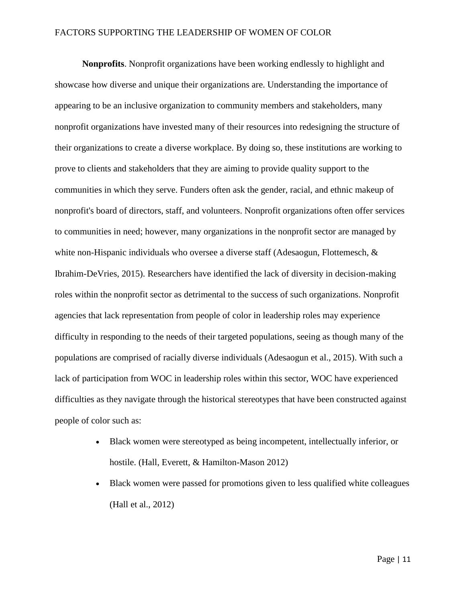**Nonprofits**. Nonprofit organizations have been working endlessly to highlight and showcase how diverse and unique their organizations are. Understanding the importance of appearing to be an inclusive organization to community members and stakeholders, many nonprofit organizations have invested many of their resources into redesigning the structure of their organizations to create a diverse workplace. By doing so, these institutions are working to prove to clients and stakeholders that they are aiming to provide quality support to the communities in which they serve. Funders often ask the gender, racial, and ethnic makeup of nonprofit's board of directors, staff, and volunteers. Nonprofit organizations often offer services to communities in need; however, many organizations in the nonprofit sector are managed by white non-Hispanic individuals who oversee a diverse staff (Adesaogun, Flottemesch, & Ibrahim-DeVries, 2015). Researchers have identified the lack of diversity in decision-making roles within the nonprofit sector as detrimental to the success of such organizations. Nonprofit agencies that lack representation from people of color in leadership roles may experience difficulty in responding to the needs of their targeted populations, seeing as though many of the populations are comprised of racially diverse individuals (Adesaogun et al., 2015). With such a lack of participation from WOC in leadership roles within this sector, WOC have experienced difficulties as they navigate through the historical stereotypes that have been constructed against people of color such as:

- Black women were stereotyped as being incompetent, intellectually inferior, or hostile. (Hall, Everett, & Hamilton-Mason 2012)
- Black women were passed for promotions given to less qualified white colleagues (Hall et al., 2012)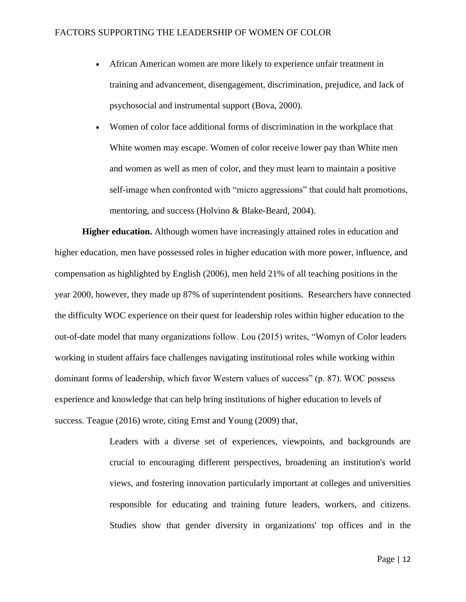- African American women are more likely to experience unfair treatment in training and advancement, disengagement, discrimination, prejudice, and lack of psychosocial and instrumental support (Bova, 2000).
- Women of color face additional forms of discrimination in the workplace that White women may escape. Women of color receive lower pay than White men and women as well as men of color, and they must learn to maintain a positive self-image when confronted with "micro aggressions" that could halt promotions, mentoring, and success (Holvino & Blake-Beard, 2004).

**Higher education.** Although women have increasingly attained roles in education and higher education, men have possessed roles in higher education with more power, influence, and compensation as highlighted by English (2006), men held 21% of all teaching positions in the year 2000, however, they made up 87% of superintendent positions. Researchers have connected the difficulty WOC experience on their quest for leadership roles within higher education to the out-of-date model that many organizations follow. Lou (2015) writes, "Womyn of Color leaders working in student affairs face challenges navigating institutional roles while working within dominant forms of leadership, which favor Western values of success" (p. 87). WOC possess experience and knowledge that can help bring institutions of higher education to levels of success. Teague (2016) wrote, citing Ernst and Young (2009) that,

> Leaders with a diverse set of experiences, viewpoints, and backgrounds are crucial to encouraging different perspectives, broadening an institution's world views, and fostering innovation particularly important at colleges and universities responsible for educating and training future leaders, workers, and citizens. Studies show that gender diversity in organizations' top offices and in the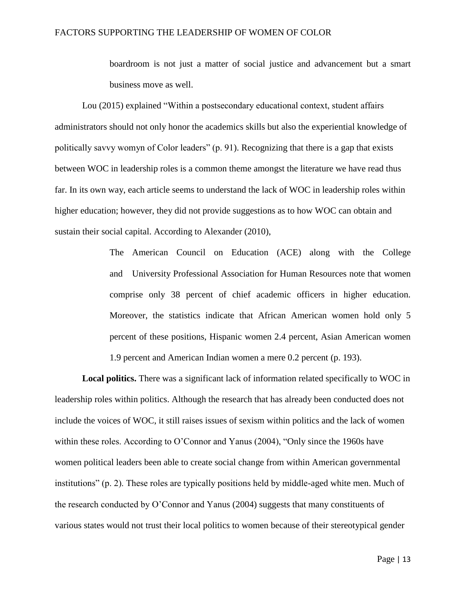boardroom is not just a matter of social justice and advancement but a smart business move as well.

Lou (2015) explained "Within a postsecondary educational context, student affairs administrators should not only honor the academics skills but also the experiential knowledge of politically savvy womyn of Color leaders" (p. 91). Recognizing that there is a gap that exists between WOC in leadership roles is a common theme amongst the literature we have read thus far. In its own way, each article seems to understand the lack of WOC in leadership roles within higher education; however, they did not provide suggestions as to how WOC can obtain and sustain their social capital. According to Alexander (2010),

> The American Council on Education (ACE) along with the College and University Professional Association for Human Resources note that women comprise only 38 percent of chief academic officers in higher education. Moreover, the statistics indicate that African American women hold only 5 percent of these positions, Hispanic women 2.4 percent, Asian American women 1.9 percent and American Indian women a mere 0.2 percent (p. 193).

**Local politics.** There was a significant lack of information related specifically to WOC in leadership roles within politics. Although the research that has already been conducted does not include the voices of WOC, it still raises issues of sexism within politics and the lack of women within these roles. According to O'Connor and Yanus (2004), "Only since the 1960s have women political leaders been able to create social change from within American governmental institutions" (p. 2). These roles are typically positions held by middle-aged white men. Much of the research conducted by O'Connor and Yanus (2004) suggests that many constituents of various states would not trust their local politics to women because of their stereotypical gender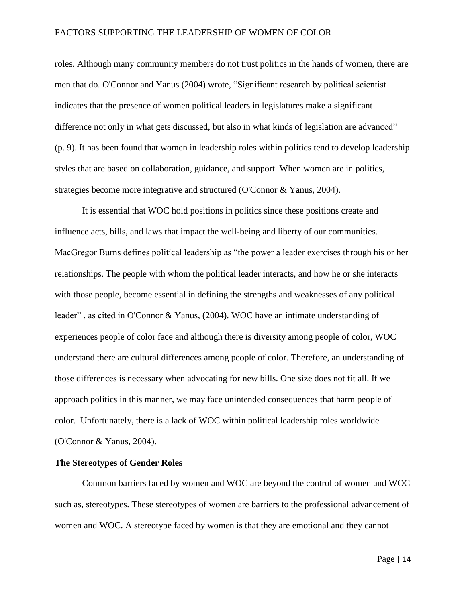roles. Although many community members do not trust politics in the hands of women, there are men that do. O'Connor and Yanus (2004) wrote, "Significant research by political scientist indicates that the presence of women political leaders in legislatures make a significant difference not only in what gets discussed, but also in what kinds of legislation are advanced" (p. 9). It has been found that women in leadership roles within politics tend to develop leadership styles that are based on collaboration, guidance, and support. When women are in politics, strategies become more integrative and structured (O'Connor & Yanus, 2004).

It is essential that WOC hold positions in politics since these positions create and influence acts, bills, and laws that impact the well-being and liberty of our communities. MacGregor Burns defines political leadership as "the power a leader exercises through his or her relationships. The people with whom the political leader interacts, and how he or she interacts with those people, become essential in defining the strengths and weaknesses of any political leader" , as cited in O'Connor & Yanus, (2004). WOC have an intimate understanding of experiences people of color face and although there is diversity among people of color, WOC understand there are cultural differences among people of color. Therefore, an understanding of those differences is necessary when advocating for new bills. One size does not fit all. If we approach politics in this manner, we may face unintended consequences that harm people of color. Unfortunately, there is a lack of WOC within political leadership roles worldwide (O'Connor & Yanus, 2004).

## **The Stereotypes of Gender Roles**

Common barriers faced by women and WOC are beyond the control of women and WOC such as, stereotypes. These stereotypes of women are barriers to the professional advancement of women and WOC. A stereotype faced by women is that they are emotional and they cannot

Page | 14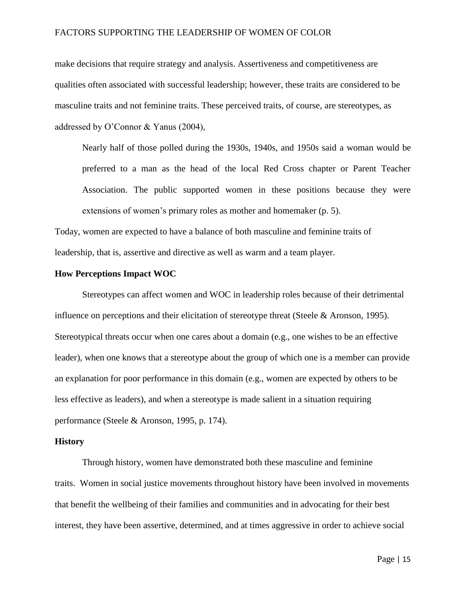make decisions that require strategy and analysis. Assertiveness and competitiveness are qualities often associated with successful leadership; however, these traits are considered to be masculine traits and not feminine traits. These perceived traits, of course, are stereotypes, as addressed by O'Connor & Yanus (2004),

Nearly half of those polled during the 1930s, 1940s, and 1950s said a woman would be preferred to a man as the head of the local Red Cross chapter or Parent Teacher Association. The public supported women in these positions because they were extensions of women's primary roles as mother and homemaker (p. 5).

Today, women are expected to have a balance of both masculine and feminine traits of leadership, that is, assertive and directive as well as warm and a team player.

#### **How Perceptions Impact WOC**

Stereotypes can affect women and WOC in leadership roles because of their detrimental influence on perceptions and their elicitation of stereotype threat (Steele & Aronson, 1995). Stereotypical threats occur when one cares about a domain (e.g., one wishes to be an effective leader), when one knows that a stereotype about the group of which one is a member can provide an explanation for poor performance in this domain (e.g., women are expected by others to be less effective as leaders), and when a stereotype is made salient in a situation requiring performance (Steele & Aronson, 1995, p. 174).

#### **History**

Through history, women have demonstrated both these masculine and feminine traits. Women in social justice movements throughout history have been involved in movements that benefit the wellbeing of their families and communities and in advocating for their best interest, they have been assertive, determined, and at times aggressive in order to achieve social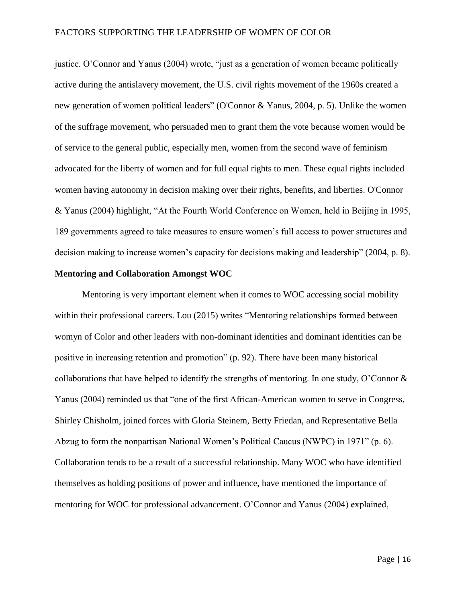justice. O'Connor and Yanus (2004) wrote, "just as a generation of women became politically active during the antislavery movement, the U.S. civil rights movement of the 1960s created a new generation of women political leaders" (O'Connor & Yanus, 2004, p. 5). Unlike the women of the suffrage movement, who persuaded men to grant them the vote because women would be of service to the general public, especially men, women from the second wave of feminism advocated for the liberty of women and for full equal rights to men. These equal rights included women having autonomy in decision making over their rights, benefits, and liberties. O'Connor & Yanus (2004) highlight, "At the Fourth World Conference on Women, held in Beijing in 1995, 189 governments agreed to take measures to ensure women's full access to power structures and decision making to increase women's capacity for decisions making and leadership" (2004, p. 8).

# **Mentoring and Collaboration Amongst WOC**

Mentoring is very important element when it comes to WOC accessing social mobility within their professional careers. Lou (2015) writes "Mentoring relationships formed between womyn of Color and other leaders with non-dominant identities and dominant identities can be positive in increasing retention and promotion" (p. 92). There have been many historical collaborations that have helped to identify the strengths of mentoring. In one study, O'Connor & Yanus (2004) reminded us that "one of the first African-American women to serve in Congress, Shirley Chisholm, joined forces with Gloria Steinem, Betty Friedan, and Representative Bella Abzug to form the nonpartisan National Women's Political Caucus (NWPC) in 1971" (p. 6). Collaboration tends to be a result of a successful relationship. Many WOC who have identified themselves as holding positions of power and influence, have mentioned the importance of mentoring for WOC for professional advancement. O'Connor and Yanus (2004) explained,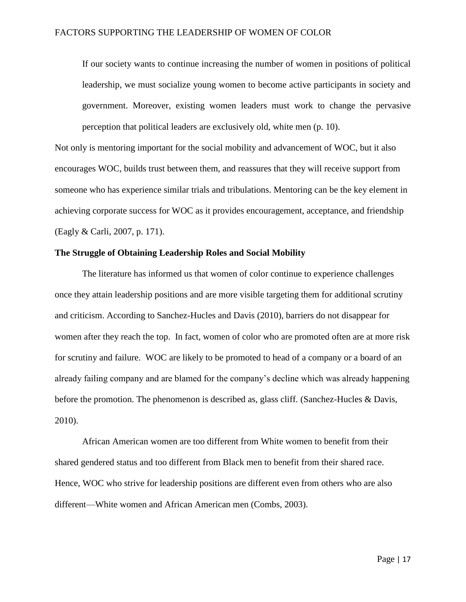If our society wants to continue increasing the number of women in positions of political leadership, we must socialize young women to become active participants in society and government. Moreover, existing women leaders must work to change the pervasive perception that political leaders are exclusively old, white men (p. 10).

Not only is mentoring important for the social mobility and advancement of WOC, but it also encourages WOC, builds trust between them, and reassures that they will receive support from someone who has experience similar trials and tribulations. Mentoring can be the key element in achieving corporate success for WOC as it provides encouragement, acceptance, and friendship (Eagly & Carli, 2007, p. 171).

#### **The Struggle of Obtaining Leadership Roles and Social Mobility**

The literature has informed us that women of color continue to experience challenges once they attain leadership positions and are more visible targeting them for additional scrutiny and criticism. According to Sanchez-Hucles and Davis (2010), barriers do not disappear for women after they reach the top. In fact, women of color who are promoted often are at more risk for scrutiny and failure. WOC are likely to be promoted to head of a company or a board of an already failing company and are blamed for the company's decline which was already happening before the promotion. The phenomenon is described as, glass cliff. (Sanchez-Hucles & Davis, 2010).

African American women are too different from White women to benefit from their shared gendered status and too different from Black men to benefit from their shared race. Hence, WOC who strive for leadership positions are different even from others who are also different—White women and African American men (Combs, 2003).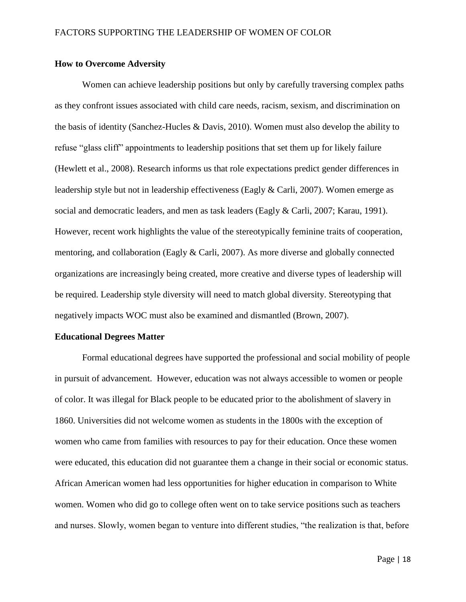#### **How to Overcome Adversity**

Women can achieve leadership positions but only by carefully traversing complex paths as they confront issues associated with child care needs, racism, sexism, and discrimination on the basis of identity (Sanchez-Hucles & Davis, 2010). Women must also develop the ability to refuse "glass cliff" appointments to leadership positions that set them up for likely failure (Hewlett et al., 2008). Research informs us that role expectations predict gender differences in leadership style but not in leadership effectiveness (Eagly & Carli, 2007). Women emerge as social and democratic leaders, and men as task leaders (Eagly & Carli, 2007; Karau, 1991). However, recent work highlights the value of the stereotypically feminine traits of cooperation, mentoring, and collaboration (Eagly & Carli, 2007). As more diverse and globally connected organizations are increasingly being created, more creative and diverse types of leadership will be required. Leadership style diversity will need to match global diversity. Stereotyping that negatively impacts WOC must also be examined and dismantled (Brown, 2007).

#### **Educational Degrees Matter**

Formal educational degrees have supported the professional and social mobility of people in pursuit of advancement. However, education was not always accessible to women or people of color. It was illegal for Black people to be educated prior to the abolishment of slavery in 1860. Universities did not welcome women as students in the 1800s with the exception of women who came from families with resources to pay for their education. Once these women were educated, this education did not guarantee them a change in their social or economic status. African American women had less opportunities for higher education in comparison to White women. Women who did go to college often went on to take service positions such as teachers and nurses. Slowly, women began to venture into different studies, "the realization is that, before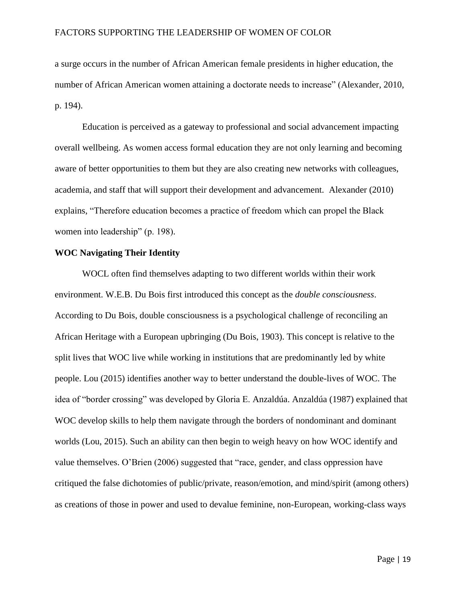a surge occurs in the number of African American female presidents in higher education, the number of African American women attaining a doctorate needs to increase" (Alexander, 2010, p. 194).

Education is perceived as a gateway to professional and social advancement impacting overall wellbeing. As women access formal education they are not only learning and becoming aware of better opportunities to them but they are also creating new networks with colleagues, academia, and staff that will support their development and advancement. Alexander (2010) explains, "Therefore education becomes a practice of freedom which can propel the Black women into leadership" (p. 198).

#### **WOC Navigating Their Identity**

WOCL often find themselves adapting to two different worlds within their work environment. W.E.B. Du Bois first introduced this concept as the *double consciousness*. According to Du Bois, double consciousness is a psychological challenge of reconciling an African Heritage with a European upbringing (Du Bois, 1903). This concept is relative to the split lives that WOC live while working in institutions that are predominantly led by white people. Lou (2015) identifies another way to better understand the double-lives of WOC. The idea of "border crossing" was developed by Gloria E. Anzaldúa. Anzaldúa (1987) explained that WOC develop skills to help them navigate through the borders of nondominant and dominant worlds (Lou, 2015). Such an ability can then begin to weigh heavy on how WOC identify and value themselves. O'Brien (2006) suggested that "race, gender, and class oppression have critiqued the false dichotomies of public/private, reason/emotion, and mind/spirit (among others) as creations of those in power and used to devalue feminine, non-European, working-class ways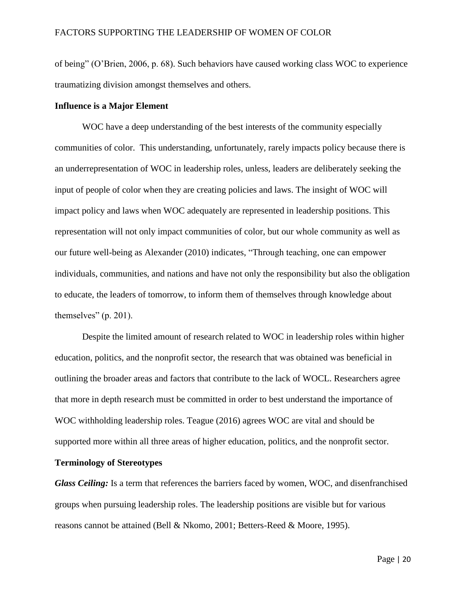of being" (O'Brien, 2006, p. 68). Such behaviors have caused working class WOC to experience traumatizing division amongst themselves and others.

# **Influence is a Major Element**

WOC have a deep understanding of the best interests of the community especially communities of color. This understanding, unfortunately, rarely impacts policy because there is an underrepresentation of WOC in leadership roles, unless, leaders are deliberately seeking the input of people of color when they are creating policies and laws. The insight of WOC will impact policy and laws when WOC adequately are represented in leadership positions. This representation will not only impact communities of color, but our whole community as well as our future well-being as Alexander (2010) indicates, "Through teaching, one can empower individuals, communities, and nations and have not only the responsibility but also the obligation to educate, the leaders of tomorrow, to inform them of themselves through knowledge about themselves" (p. 201).

Despite the limited amount of research related to WOC in leadership roles within higher education, politics, and the nonprofit sector, the research that was obtained was beneficial in outlining the broader areas and factors that contribute to the lack of WOCL. Researchers agree that more in depth research must be committed in order to best understand the importance of WOC withholding leadership roles. Teague (2016) agrees WOC are vital and should be supported more within all three areas of higher education, politics, and the nonprofit sector.

#### **Terminology of Stereotypes**

*Glass Ceiling:* Is a term that references the barriers faced by women, WOC, and disenfranchised groups when pursuing leadership roles. The leadership positions are visible but for various reasons cannot be attained (Bell & Nkomo, 2001; Betters-Reed & Moore, 1995).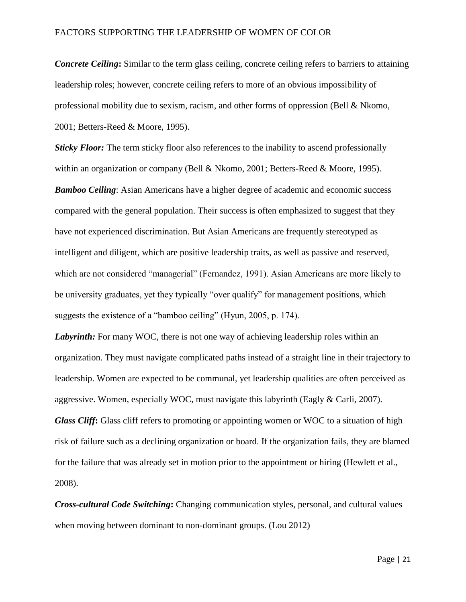*Concrete Ceiling*: Similar to the term glass ceiling, concrete ceiling refers to barriers to attaining leadership roles; however, concrete ceiling refers to more of an obvious impossibility of professional mobility due to sexism, racism, and other forms of oppression (Bell & Nkomo, 2001; Betters-Reed & Moore, 1995).

*Sticky Floor:* The term sticky floor also references to the inability to ascend professionally within an organization or company (Bell & Nkomo, 2001; Betters-Reed & Moore, 1995). *Bamboo Ceiling*: Asian Americans have a higher degree of academic and economic success compared with the general population. Their success is often emphasized to suggest that they have not experienced discrimination. But Asian Americans are frequently stereotyped as intelligent and diligent, which are positive leadership traits, as well as passive and reserved, which are not considered "managerial" (Fernandez, 1991). Asian Americans are more likely to be university graduates, yet they typically "over qualify" for management positions, which suggests the existence of a "bamboo ceiling" (Hyun, 2005, p. 174).

*Labyrinth:* For many WOC, there is not one way of achieving leadership roles within an organization. They must navigate complicated paths instead of a straight line in their trajectory to leadership. Women are expected to be communal, yet leadership qualities are often perceived as aggressive. Women, especially WOC, must navigate this labyrinth (Eagly & Carli, 2007). *Glass Cliff***:** Glass cliff refers to promoting or appointing women or WOC to a situation of high risk of failure such as a declining organization or board. If the organization fails, they are blamed for the failure that was already set in motion prior to the appointment or hiring (Hewlett et al., 2008).

*Cross-cultural Code Switching***:** Changing communication styles, personal, and cultural values when moving between dominant to non-dominant groups. (Lou 2012)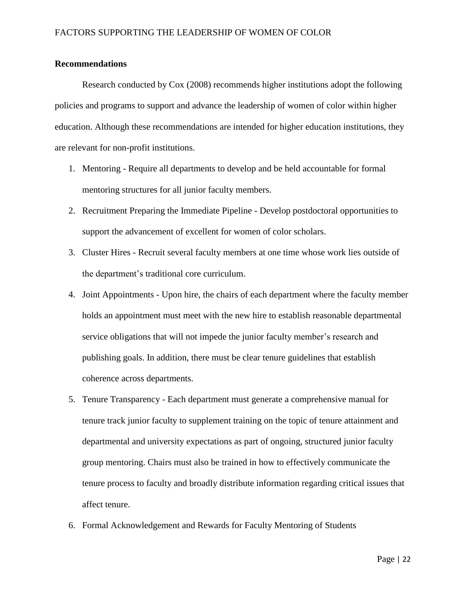# **Recommendations**

Research conducted by Cox (2008) recommends higher institutions adopt the following policies and programs to support and advance the leadership of women of color within higher education. Although these recommendations are intended for higher education institutions, they are relevant for non-profit institutions.

- 1. Mentoring Require all departments to develop and be held accountable for formal mentoring structures for all junior faculty members.
- 2. Recruitment Preparing the Immediate Pipeline Develop postdoctoral opportunities to support the advancement of excellent for women of color scholars.
- 3. Cluster Hires Recruit several faculty members at one time whose work lies outside of the department's traditional core curriculum.
- 4. Joint Appointments Upon hire, the chairs of each department where the faculty member holds an appointment must meet with the new hire to establish reasonable departmental service obligations that will not impede the junior faculty member's research and publishing goals. In addition, there must be clear tenure guidelines that establish coherence across departments.
- 5. Tenure Transparency Each department must generate a comprehensive manual for tenure track junior faculty to supplement training on the topic of tenure attainment and departmental and university expectations as part of ongoing, structured junior faculty group mentoring. Chairs must also be trained in how to effectively communicate the tenure process to faculty and broadly distribute information regarding critical issues that affect tenure.
- 6. Formal Acknowledgement and Rewards for Faculty Mentoring of Students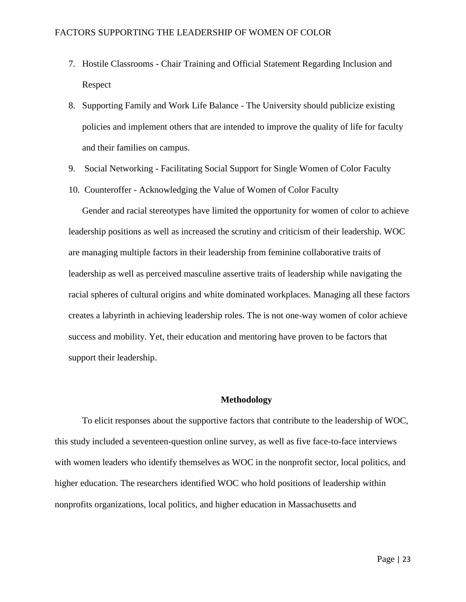- 7. Hostile Classrooms Chair Training and Official Statement Regarding Inclusion and Respect
- 8. Supporting Family and Work Life Balance The University should publicize existing policies and implement others that are intended to improve the quality of life for faculty and their families on campus.
- 9. Social Networking Facilitating Social Support for Single Women of Color Faculty
- 10. Counteroffer Acknowledging the Value of Women of Color Faculty

Gender and racial stereotypes have limited the opportunity for women of color to achieve leadership positions as well as increased the scrutiny and criticism of their leadership. WOC are managing multiple factors in their leadership from feminine collaborative traits of leadership as well as perceived masculine assertive traits of leadership while navigating the racial spheres of cultural origins and white dominated workplaces. Managing all these factors creates a labyrinth in achieving leadership roles. The is not one-way women of color achieve success and mobility. Yet, their education and mentoring have proven to be factors that support their leadership.

#### **Methodology**

To elicit responses about the supportive factors that contribute to the leadership of WOC, this study included a seventeen-question online survey, as well as five face-to-face interviews with women leaders who identify themselves as WOC in the nonprofit sector, local politics, and higher education. The researchers identified WOC who hold positions of leadership within nonprofits organizations, local politics, and higher education in Massachusetts and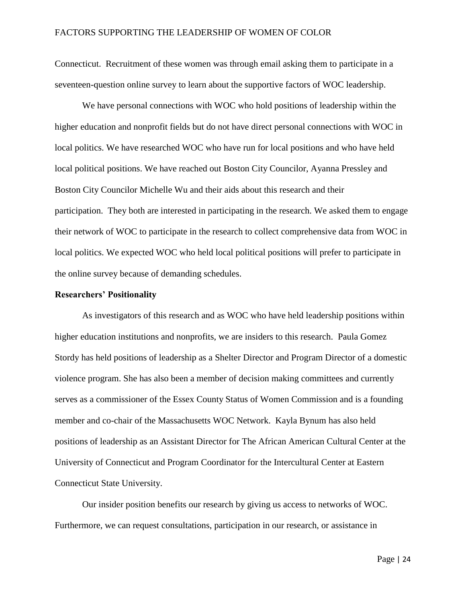Connecticut. Recruitment of these women was through email asking them to participate in a seventeen-question online survey to learn about the supportive factors of WOC leadership.

We have personal connections with WOC who hold positions of leadership within the higher education and nonprofit fields but do not have direct personal connections with WOC in local politics. We have researched WOC who have run for local positions and who have held local political positions. We have reached out Boston City Councilor, Ayanna Pressley and Boston City Councilor Michelle Wu and their aids about this research and their participation. They both are interested in participating in the research. We asked them to engage their network of WOC to participate in the research to collect comprehensive data from WOC in local politics. We expected WOC who held local political positions will prefer to participate in the online survey because of demanding schedules.

#### **Researchers' Positionality**

As investigators of this research and as WOC who have held leadership positions within higher education institutions and nonprofits, we are insiders to this research. Paula Gomez Stordy has held positions of leadership as a Shelter Director and Program Director of a domestic violence program. She has also been a member of decision making committees and currently serves as a commissioner of the Essex County Status of Women Commission and is a founding member and co-chair of the Massachusetts WOC Network. Kayla Bynum has also held positions of leadership as an Assistant Director for The African American Cultural Center at the University of Connecticut and Program Coordinator for the Intercultural Center at Eastern Connecticut State University.

Our insider position benefits our research by giving us access to networks of WOC. Furthermore, we can request consultations, participation in our research, or assistance in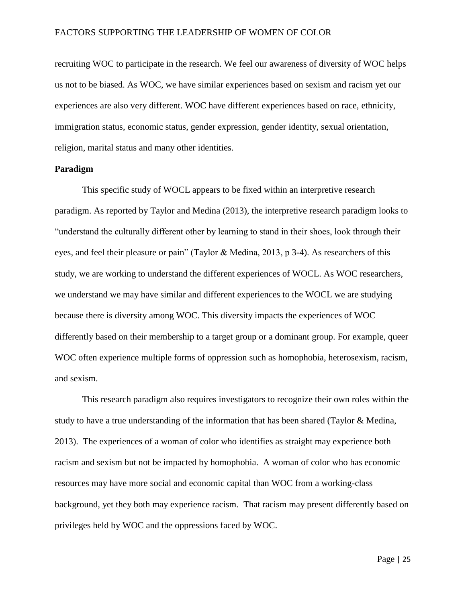recruiting WOC to participate in the research. We feel our awareness of diversity of WOC helps us not to be biased. As WOC, we have similar experiences based on sexism and racism yet our experiences are also very different. WOC have different experiences based on race, ethnicity, immigration status, economic status, gender expression, gender identity, sexual orientation, religion, marital status and many other identities.

#### **Paradigm**

This specific study of WOCL appears to be fixed within an interpretive research paradigm. As reported by Taylor and Medina (2013), the interpretive research paradigm looks to "understand the culturally different other by learning to stand in their shoes, look through their eyes, and feel their pleasure or pain" (Taylor & Medina, 2013, p 3-4). As researchers of this study, we are working to understand the different experiences of WOCL. As WOC researchers, we understand we may have similar and different experiences to the WOCL we are studying because there is diversity among WOC. This diversity impacts the experiences of WOC differently based on their membership to a target group or a dominant group. For example, queer WOC often experience multiple forms of oppression such as homophobia, heterosexism, racism, and sexism.

This research paradigm also requires investigators to recognize their own roles within the study to have a true understanding of the information that has been shared (Taylor & Medina, 2013). The experiences of a woman of color who identifies as straight may experience both racism and sexism but not be impacted by homophobia. A woman of color who has economic resources may have more social and economic capital than WOC from a working-class background, yet they both may experience racism. That racism may present differently based on privileges held by WOC and the oppressions faced by WOC.

Page | 25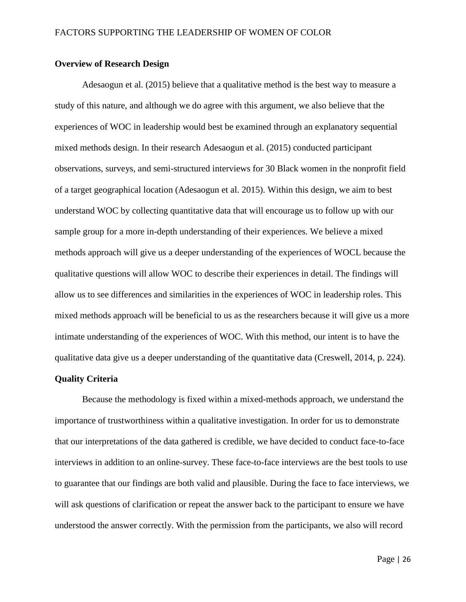#### **Overview of Research Design**

Adesaogun et al. (2015) believe that a qualitative method is the best way to measure a study of this nature, and although we do agree with this argument, we also believe that the experiences of WOC in leadership would best be examined through an explanatory sequential mixed methods design. In their research Adesaogun et al. (2015) conducted participant observations, surveys, and semi-structured interviews for 30 Black women in the nonprofit field of a target geographical location (Adesaogun et al. 2015). Within this design, we aim to best understand WOC by collecting quantitative data that will encourage us to follow up with our sample group for a more in-depth understanding of their experiences. We believe a mixed methods approach will give us a deeper understanding of the experiences of WOCL because the qualitative questions will allow WOC to describe their experiences in detail. The findings will allow us to see differences and similarities in the experiences of WOC in leadership roles. This mixed methods approach will be beneficial to us as the researchers because it will give us a more intimate understanding of the experiences of WOC. With this method, our intent is to have the qualitative data give us a deeper understanding of the quantitative data (Creswell, 2014, p. 224).

# **Quality Criteria**

Because the methodology is fixed within a mixed-methods approach, we understand the importance of trustworthiness within a qualitative investigation. In order for us to demonstrate that our interpretations of the data gathered is credible, we have decided to conduct face-to-face interviews in addition to an online-survey. These face-to-face interviews are the best tools to use to guarantee that our findings are both valid and plausible. During the face to face interviews, we will ask questions of clarification or repeat the answer back to the participant to ensure we have understood the answer correctly. With the permission from the participants, we also will record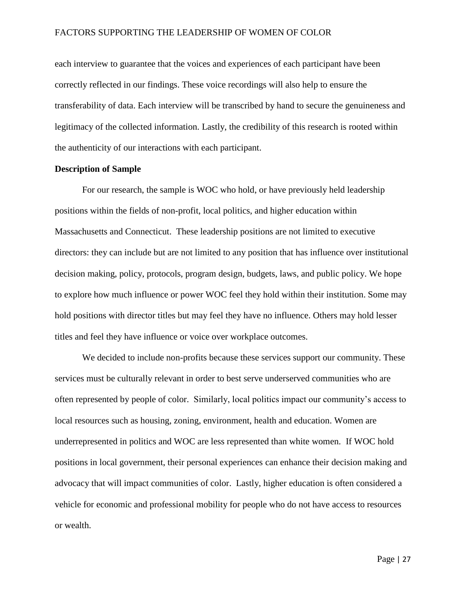each interview to guarantee that the voices and experiences of each participant have been correctly reflected in our findings. These voice recordings will also help to ensure the transferability of data. Each interview will be transcribed by hand to secure the genuineness and legitimacy of the collected information. Lastly, the credibility of this research is rooted within the authenticity of our interactions with each participant.

#### **Description of Sample**

For our research, the sample is WOC who hold, or have previously held leadership positions within the fields of non-profit, local politics, and higher education within Massachusetts and Connecticut. These leadership positions are not limited to executive directors: they can include but are not limited to any position that has influence over institutional decision making, policy, protocols, program design, budgets, laws, and public policy. We hope to explore how much influence or power WOC feel they hold within their institution. Some may hold positions with director titles but may feel they have no influence. Others may hold lesser titles and feel they have influence or voice over workplace outcomes.

We decided to include non-profits because these services support our community. These services must be culturally relevant in order to best serve underserved communities who are often represented by people of color. Similarly, local politics impact our community's access to local resources such as housing, zoning, environment, health and education. Women are underrepresented in politics and WOC are less represented than white women. If WOC hold positions in local government, their personal experiences can enhance their decision making and advocacy that will impact communities of color. Lastly, higher education is often considered a vehicle for economic and professional mobility for people who do not have access to resources or wealth.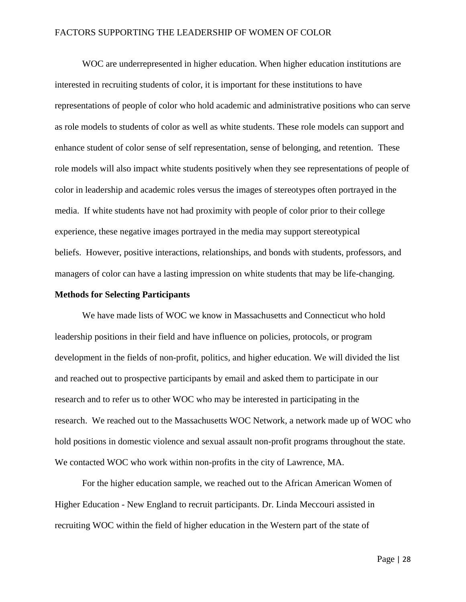WOC are underrepresented in higher education. When higher education institutions are interested in recruiting students of color, it is important for these institutions to have representations of people of color who hold academic and administrative positions who can serve as role models to students of color as well as white students. These role models can support and enhance student of color sense of self representation, sense of belonging, and retention. These role models will also impact white students positively when they see representations of people of color in leadership and academic roles versus the images of stereotypes often portrayed in the media. If white students have not had proximity with people of color prior to their college experience, these negative images portrayed in the media may support stereotypical beliefs. However, positive interactions, relationships, and bonds with students, professors, and managers of color can have a lasting impression on white students that may be life-changing.

#### **Methods for Selecting Participants**

We have made lists of WOC we know in Massachusetts and Connecticut who hold leadership positions in their field and have influence on policies, protocols, or program development in the fields of non-profit, politics, and higher education. We will divided the list and reached out to prospective participants by email and asked them to participate in our research and to refer us to other WOC who may be interested in participating in the research. We reached out to the Massachusetts WOC Network, a network made up of WOC who hold positions in domestic violence and sexual assault non-profit programs throughout the state. We contacted WOC who work within non-profits in the city of Lawrence, MA.

For the higher education sample, we reached out to the African American Women of Higher Education - New England to recruit participants. Dr. Linda Meccouri assisted in recruiting WOC within the field of higher education in the Western part of the state of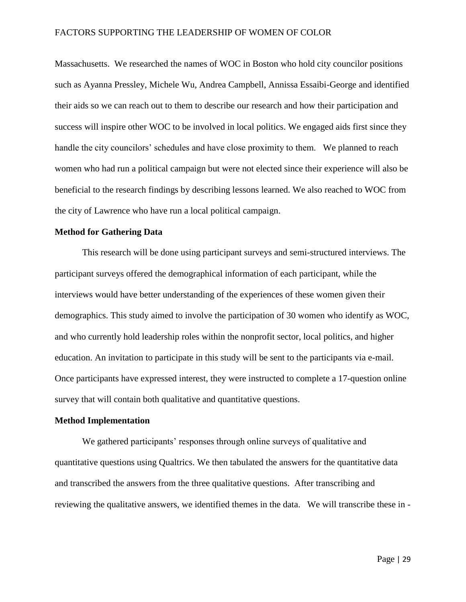Massachusetts. We researched the names of WOC in Boston who hold city councilor positions such as Ayanna Pressley, Michele Wu, Andrea Campbell, Annissa Essaibi-George and identified their aids so we can reach out to them to describe our research and how their participation and success will inspire other WOC to be involved in local politics. We engaged aids first since they handle the city councilors' schedules and have close proximity to them. We planned to reach women who had run a political campaign but were not elected since their experience will also be beneficial to the research findings by describing lessons learned. We also reached to WOC from the city of Lawrence who have run a local political campaign.

# **Method for Gathering Data**

This research will be done using participant surveys and semi-structured interviews. The participant surveys offered the demographical information of each participant, while the interviews would have better understanding of the experiences of these women given their demographics. This study aimed to involve the participation of 30 women who identify as WOC, and who currently hold leadership roles within the nonprofit sector, local politics, and higher education. An invitation to participate in this study will be sent to the participants via e-mail. Once participants have expressed interest, they were instructed to complete a 17-question online survey that will contain both qualitative and quantitative questions.

# **Method Implementation**

We gathered participants' responses through online surveys of qualitative and quantitative questions using Qualtrics. We then tabulated the answers for the quantitative data and transcribed the answers from the three qualitative questions. After transcribing and reviewing the qualitative answers, we identified themes in the data. We will transcribe these in -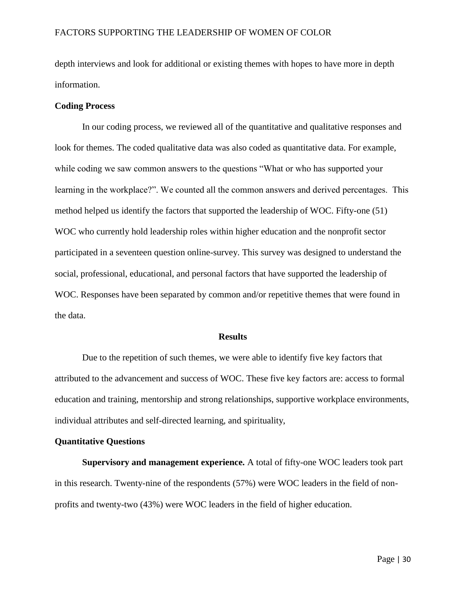depth interviews and look for additional or existing themes with hopes to have more in depth information.

#### **Coding Process**

In our coding process, we reviewed all of the quantitative and qualitative responses and look for themes. The coded qualitative data was also coded as quantitative data. For example, while coding we saw common answers to the questions "What or who has supported your learning in the workplace?". We counted all the common answers and derived percentages. This method helped us identify the factors that supported the leadership of WOC. Fifty-one (51) WOC who currently hold leadership roles within higher education and the nonprofit sector participated in a seventeen question online-survey. This survey was designed to understand the social, professional, educational, and personal factors that have supported the leadership of WOC. Responses have been separated by common and/or repetitive themes that were found in the data.

#### **Results**

Due to the repetition of such themes, we were able to identify five key factors that attributed to the advancement and success of WOC. These five key factors are: access to formal education and training, mentorship and strong relationships, supportive workplace environments, individual attributes and self-directed learning, and spirituality,

### **Quantitative Questions**

**Supervisory and management experience.** A total of fifty-one WOC leaders took part in this research. Twenty-nine of the respondents (57%) were WOC leaders in the field of nonprofits and twenty-two (43%) were WOC leaders in the field of higher education.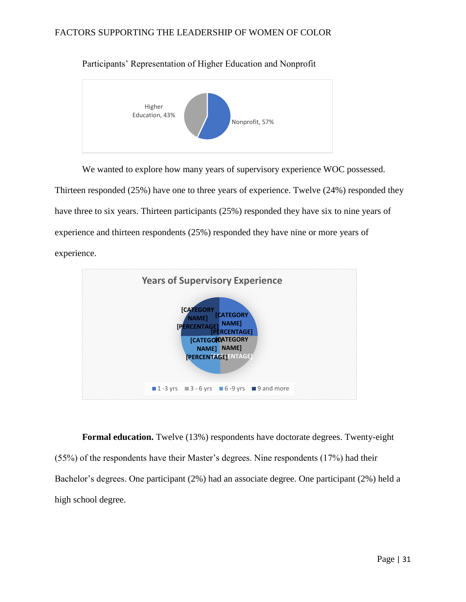

Participants' Representation of Higher Education and Nonprofit

We wanted to explore how many years of supervisory experience WOC possessed. Thirteen responded (25%) have one to three years of experience. Twelve (24%) responded they have three to six years. Thirteen participants (25%) responded they have six to nine years of experience and thirteen respondents (25%) responded they have nine or more years of experience.



**Formal education.** Twelve (13%) respondents have doctorate degrees. Twenty-eight (55%) of the respondents have their Master's degrees. Nine respondents (17%) had their Bachelor's degrees. One participant (2%) had an associate degree. One participant (2%) held a high school degree.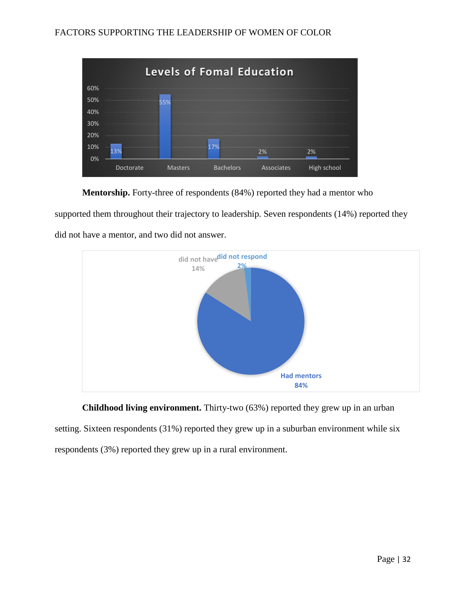

**Mentorship.** Forty-three of respondents (84%) reported they had a mentor who

supported them throughout their trajectory to leadership. Seven respondents (14%) reported they did not have a mentor, and two did not answer.



**Childhood living environment.** Thirty-two (63%) reported they grew up in an urban setting. Sixteen respondents (31%) reported they grew up in a suburban environment while six respondents (3%) reported they grew up in a rural environment.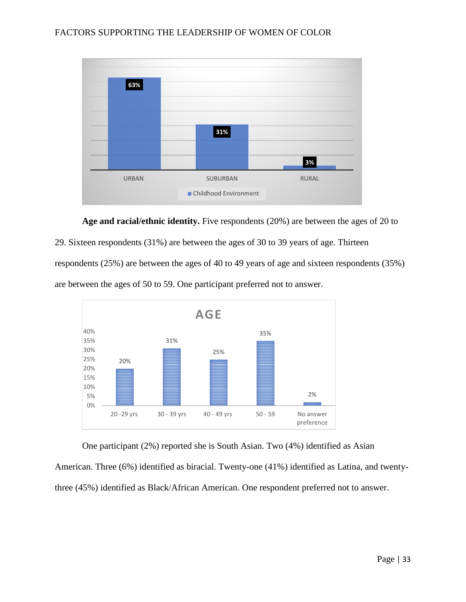

**Age and racial/ethnic identity.** Five respondents (20%) are between the ages of 20 to

29. Sixteen respondents (31%) are between the ages of 30 to 39 years of age. Thirteen

respondents (25%) are between the ages of 40 to 49 years of age and sixteen respondents (35%)

are between the ages of 50 to 59. One participant preferred not to answer.



One participant (2%) reported she is South Asian. Two (4%) identified as Asian

American. Three (6%) identified as biracial. Twenty-one (41%) identified as Latina, and twenty-

three (45%) identified as Black/African American. One respondent preferred not to answer.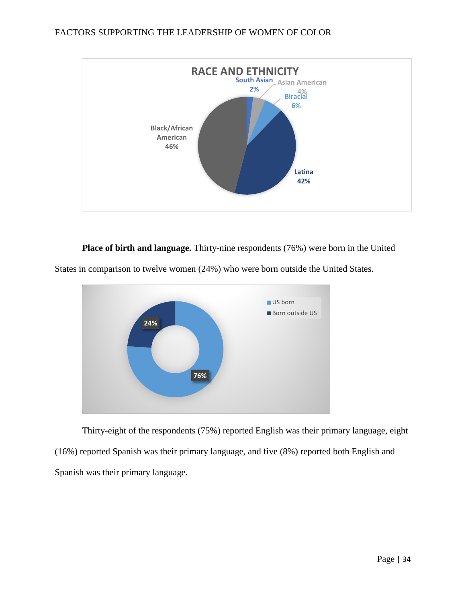

**Place of birth and language.** Thirty-nine respondents (76%) were born in the United





Thirty-eight of the respondents (75%) reported English was their primary language, eight (16%) reported Spanish was their primary language, and five (8%) reported both English and Spanish was their primary language.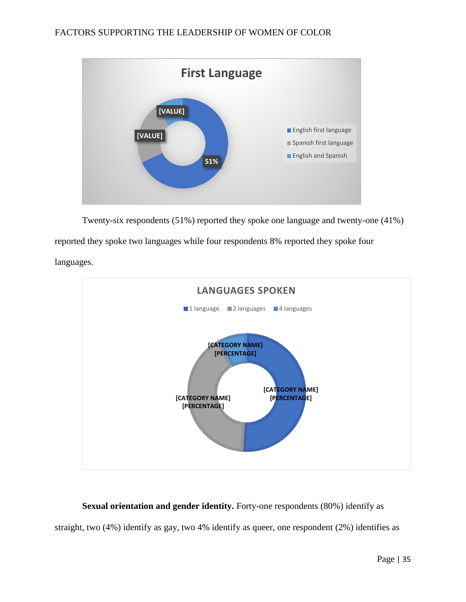

Twenty-six respondents (51%) reported they spoke one language and twenty-one (41%)

reported they spoke two languages while four respondents 8% reported they spoke four

languages.



**Sexual orientation and gender identity.** Forty-one respondents (80%) identify as straight, two (4%) identify as gay, two 4% identify as queer, one respondent (2%) identifies as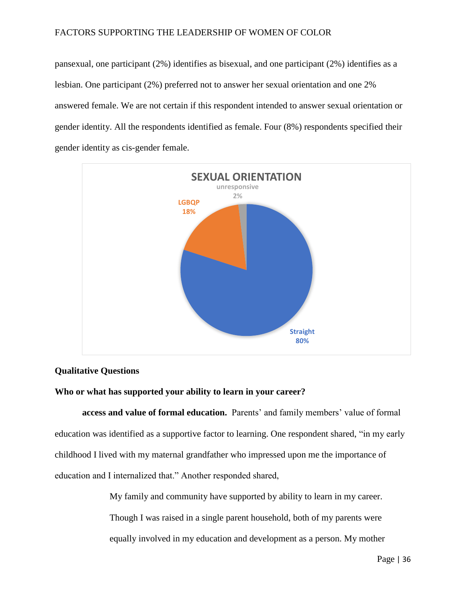pansexual, one participant (2%) identifies as bisexual, and one participant (2%) identifies as a lesbian. One participant (2%) preferred not to answer her sexual orientation and one 2% answered female. We are not certain if this respondent intended to answer sexual orientation or gender identity. All the respondents identified as female. Four (8%) respondents specified their gender identity as cis-gender female.



# **Qualitative Questions**

#### **Who or what has supported your ability to learn in your career?**

**access and value of formal education.** Parents' and family members' value of formal education was identified as a supportive factor to learning. One respondent shared, "in my early childhood I lived with my maternal grandfather who impressed upon me the importance of education and I internalized that." Another responded shared,

> My family and community have supported by ability to learn in my career. Though I was raised in a single parent household, both of my parents were equally involved in my education and development as a person. My mother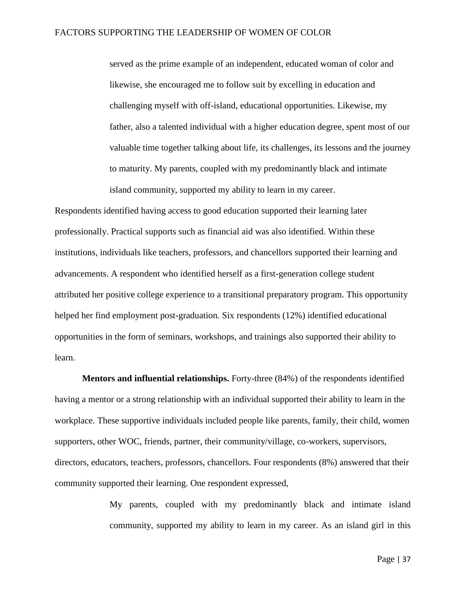served as the prime example of an independent, educated woman of color and likewise, she encouraged me to follow suit by excelling in education and challenging myself with off-island, educational opportunities. Likewise, my father, also a talented individual with a higher education degree, spent most of our valuable time together talking about life, its challenges, its lessons and the journey to maturity. My parents, coupled with my predominantly black and intimate island community, supported my ability to learn in my career.

Respondents identified having access to good education supported their learning later professionally. Practical supports such as financial aid was also identified. Within these institutions, individuals like teachers, professors, and chancellors supported their learning and advancements. A respondent who identified herself as a first-generation college student attributed her positive college experience to a transitional preparatory program. This opportunity helped her find employment post-graduation. Six respondents (12%) identified educational opportunities in the form of seminars, workshops, and trainings also supported their ability to learn.

**Mentors and influential relationships.** Forty-three (84%) of the respondents identified having a mentor or a strong relationship with an individual supported their ability to learn in the workplace. These supportive individuals included people like parents, family, their child, women supporters, other WOC, friends, partner, their community/village, co-workers, supervisors, directors, educators, teachers, professors, chancellors. Four respondents (8%) answered that their community supported their learning. One respondent expressed,

> My parents, coupled with my predominantly black and intimate island community, supported my ability to learn in my career. As an island girl in this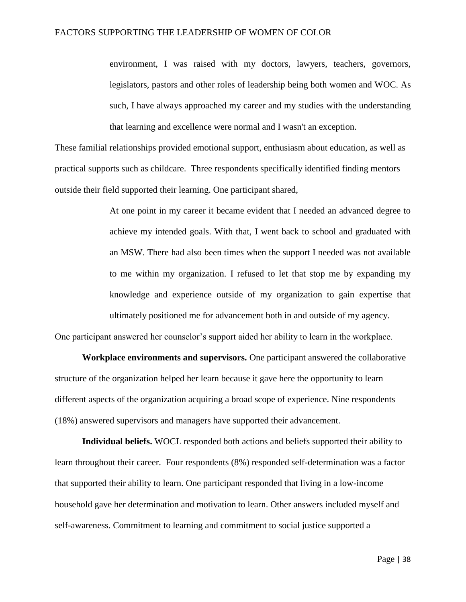environment, I was raised with my doctors, lawyers, teachers, governors, legislators, pastors and other roles of leadership being both women and WOC. As such, I have always approached my career and my studies with the understanding that learning and excellence were normal and I wasn't an exception.

These familial relationships provided emotional support, enthusiasm about education, as well as practical supports such as childcare. Three respondents specifically identified finding mentors outside their field supported their learning. One participant shared,

> At one point in my career it became evident that I needed an advanced degree to achieve my intended goals. With that, I went back to school and graduated with an MSW. There had also been times when the support I needed was not available to me within my organization. I refused to let that stop me by expanding my knowledge and experience outside of my organization to gain expertise that ultimately positioned me for advancement both in and outside of my agency.

One participant answered her counselor's support aided her ability to learn in the workplace.

**Workplace environments and supervisors.** One participant answered the collaborative structure of the organization helped her learn because it gave here the opportunity to learn different aspects of the organization acquiring a broad scope of experience. Nine respondents (18%) answered supervisors and managers have supported their advancement.

**Individual beliefs.** WOCL responded both actions and beliefs supported their ability to learn throughout their career. Four respondents (8%) responded self-determination was a factor that supported their ability to learn. One participant responded that living in a low-income household gave her determination and motivation to learn. Other answers included myself and self-awareness. Commitment to learning and commitment to social justice supported a

Page | 38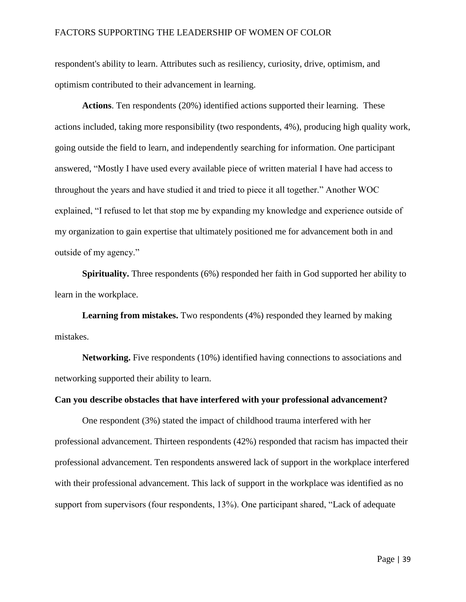respondent's ability to learn. Attributes such as resiliency, curiosity, drive, optimism, and optimism contributed to their advancement in learning.

**Actions**. Ten respondents (20%) identified actions supported their learning. These actions included, taking more responsibility (two respondents, 4%), producing high quality work, going outside the field to learn, and independently searching for information. One participant answered, "Mostly I have used every available piece of written material I have had access to throughout the years and have studied it and tried to piece it all together." Another WOC explained, "I refused to let that stop me by expanding my knowledge and experience outside of my organization to gain expertise that ultimately positioned me for advancement both in and outside of my agency."

**Spirituality.** Three respondents (6%) responded her faith in God supported her ability to learn in the workplace.

**Learning from mistakes.** Two respondents (4%) responded they learned by making mistakes.

**Networking.** Five respondents (10%) identified having connections to associations and networking supported their ability to learn.

#### **Can you describe obstacles that have interfered with your professional advancement?**

One respondent (3%) stated the impact of childhood trauma interfered with her professional advancement. Thirteen respondents (42%) responded that racism has impacted their professional advancement. Ten respondents answered lack of support in the workplace interfered with their professional advancement. This lack of support in the workplace was identified as no support from supervisors (four respondents, 13%). One participant shared, "Lack of adequate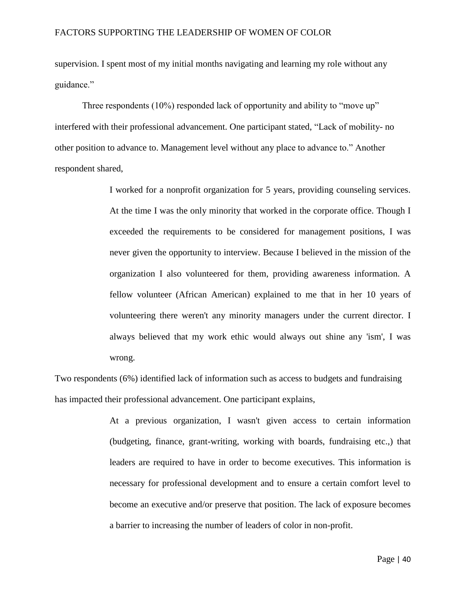supervision. I spent most of my initial months navigating and learning my role without any guidance."

Three respondents (10%) responded lack of opportunity and ability to "move up" interfered with their professional advancement. One participant stated, "Lack of mobility- no other position to advance to. Management level without any place to advance to." Another respondent shared,

> I worked for a nonprofit organization for 5 years, providing counseling services. At the time I was the only minority that worked in the corporate office. Though I exceeded the requirements to be considered for management positions, I was never given the opportunity to interview. Because I believed in the mission of the organization I also volunteered for them, providing awareness information. A fellow volunteer (African American) explained to me that in her 10 years of volunteering there weren't any minority managers under the current director. I always believed that my work ethic would always out shine any 'ism', I was wrong.

Two respondents (6%) identified lack of information such as access to budgets and fundraising has impacted their professional advancement. One participant explains,

> At a previous organization, I wasn't given access to certain information (budgeting, finance, grant-writing, working with boards, fundraising etc.,) that leaders are required to have in order to become executives. This information is necessary for professional development and to ensure a certain comfort level to become an executive and/or preserve that position. The lack of exposure becomes a barrier to increasing the number of leaders of color in non-profit.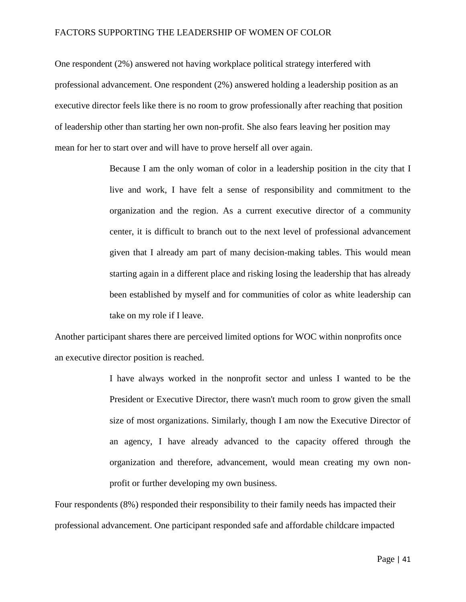One respondent (2%) answered not having workplace political strategy interfered with professional advancement. One respondent (2%) answered holding a leadership position as an executive director feels like there is no room to grow professionally after reaching that position of leadership other than starting her own non-profit. She also fears leaving her position may mean for her to start over and will have to prove herself all over again.

> Because I am the only woman of color in a leadership position in the city that I live and work, I have felt a sense of responsibility and commitment to the organization and the region. As a current executive director of a community center, it is difficult to branch out to the next level of professional advancement given that I already am part of many decision-making tables. This would mean starting again in a different place and risking losing the leadership that has already been established by myself and for communities of color as white leadership can take on my role if I leave.

Another participant shares there are perceived limited options for WOC within nonprofits once an executive director position is reached.

> I have always worked in the nonprofit sector and unless I wanted to be the President or Executive Director, there wasn't much room to grow given the small size of most organizations. Similarly, though I am now the Executive Director of an agency, I have already advanced to the capacity offered through the organization and therefore, advancement, would mean creating my own nonprofit or further developing my own business.

Four respondents (8%) responded their responsibility to their family needs has impacted their professional advancement. One participant responded safe and affordable childcare impacted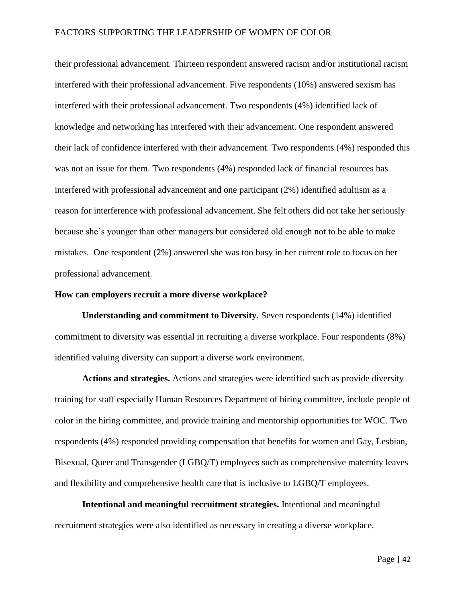their professional advancement. Thirteen respondent answered racism and/or institutional racism interfered with their professional advancement. Five respondents (10%) answered sexism has interfered with their professional advancement. Two respondents (4%) identified lack of knowledge and networking has interfered with their advancement. One respondent answered their lack of confidence interfered with their advancement. Two respondents (4%) responded this was not an issue for them. Two respondents (4%) responded lack of financial resources has interfered with professional advancement and one participant (2%) identified adultism as a reason for interference with professional advancement. She felt others did not take her seriously because she's younger than other managers but considered old enough not to be able to make mistakes. One respondent (2%) answered she was too busy in her current role to focus on her professional advancement.

#### **How can employers recruit a more diverse workplace?**

**Understanding and commitment to Diversity.** Seven respondents (14%) identified commitment to diversity was essential in recruiting a diverse workplace. Four respondents (8%) identified valuing diversity can support a diverse work environment.

**Actions and strategies.** Actions and strategies were identified such as provide diversity training for staff especially Human Resources Department of hiring committee, include people of color in the hiring committee, and provide training and mentorship opportunities for WOC. Two respondents (4%) responded providing compensation that benefits for women and Gay, Lesbian, Bisexual, Queer and Transgender (LGBQ/T) employees such as comprehensive maternity leaves and flexibility and comprehensive health care that is inclusive to LGBQ/T employees.

**Intentional and meaningful recruitment strategies.** Intentional and meaningful recruitment strategies were also identified as necessary in creating a diverse workplace.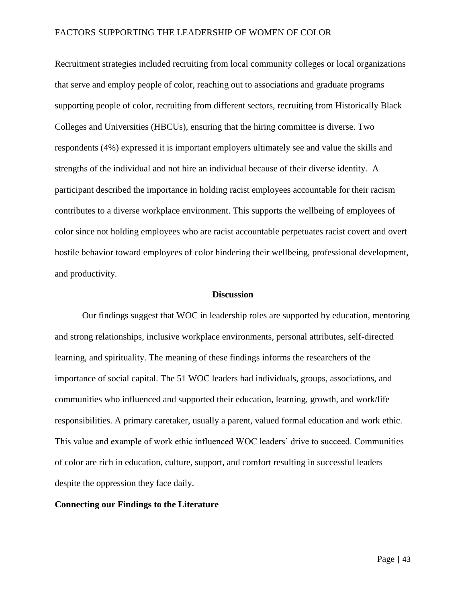Recruitment strategies included recruiting from local community colleges or local organizations that serve and employ people of color, reaching out to associations and graduate programs supporting people of color, recruiting from different sectors, recruiting from Historically Black Colleges and Universities (HBCUs), ensuring that the hiring committee is diverse. Two respondents (4%) expressed it is important employers ultimately see and value the skills and strengths of the individual and not hire an individual because of their diverse identity. A participant described the importance in holding racist employees accountable for their racism contributes to a diverse workplace environment. This supports the wellbeing of employees of color since not holding employees who are racist accountable perpetuates racist covert and overt hostile behavior toward employees of color hindering their wellbeing, professional development, and productivity.

#### **Discussion**

Our findings suggest that WOC in leadership roles are supported by education, mentoring and strong relationships, inclusive workplace environments, personal attributes, self-directed learning, and spirituality. The meaning of these findings informs the researchers of the importance of social capital. The 51 WOC leaders had individuals, groups, associations, and communities who influenced and supported their education, learning, growth, and work/life responsibilities. A primary caretaker, usually a parent, valued formal education and work ethic. This value and example of work ethic influenced WOC leaders' drive to succeed. Communities of color are rich in education, culture, support, and comfort resulting in successful leaders despite the oppression they face daily.

#### **Connecting our Findings to the Literature**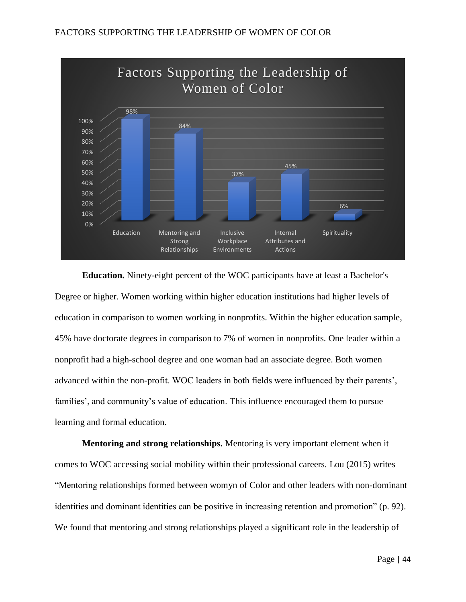

**Education.** Ninety-eight percent of the WOC participants have at least a Bachelor's Degree or higher. Women working within higher education institutions had higher levels of education in comparison to women working in nonprofits. Within the higher education sample, 45% have doctorate degrees in comparison to 7% of women in nonprofits. One leader within a nonprofit had a high-school degree and one woman had an associate degree. Both women advanced within the non-profit. WOC leaders in both fields were influenced by their parents', families', and community's value of education. This influence encouraged them to pursue learning and formal education.

**Mentoring and strong relationships.** Mentoring is very important element when it comes to WOC accessing social mobility within their professional careers. Lou (2015) writes "Mentoring relationships formed between womyn of Color and other leaders with non-dominant identities and dominant identities can be positive in increasing retention and promotion" (p. 92). We found that mentoring and strong relationships played a significant role in the leadership of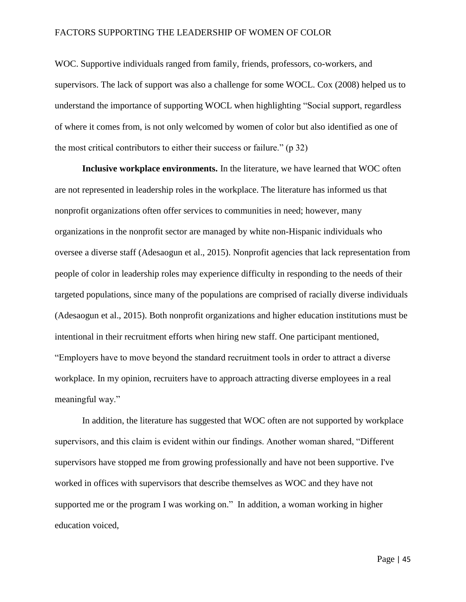WOC. Supportive individuals ranged from family, friends, professors, co-workers, and supervisors. The lack of support was also a challenge for some WOCL. Cox (2008) helped us to understand the importance of supporting WOCL when highlighting "Social support, regardless of where it comes from, is not only welcomed by women of color but also identified as one of the most critical contributors to either their success or failure." (p 32)

**Inclusive workplace environments.** In the literature, we have learned that WOC often are not represented in leadership roles in the workplace. The literature has informed us that nonprofit organizations often offer services to communities in need; however, many organizations in the nonprofit sector are managed by white non-Hispanic individuals who oversee a diverse staff (Adesaogun et al., 2015). Nonprofit agencies that lack representation from people of color in leadership roles may experience difficulty in responding to the needs of their targeted populations, since many of the populations are comprised of racially diverse individuals (Adesaogun et al., 2015). Both nonprofit organizations and higher education institutions must be intentional in their recruitment efforts when hiring new staff. One participant mentioned, "Employers have to move beyond the standard recruitment tools in order to attract a diverse workplace. In my opinion, recruiters have to approach attracting diverse employees in a real meaningful way."

In addition, the literature has suggested that WOC often are not supported by workplace supervisors, and this claim is evident within our findings. Another woman shared, "Different supervisors have stopped me from growing professionally and have not been supportive. I've worked in offices with supervisors that describe themselves as WOC and they have not supported me or the program I was working on." In addition, a woman working in higher education voiced,

Page | 45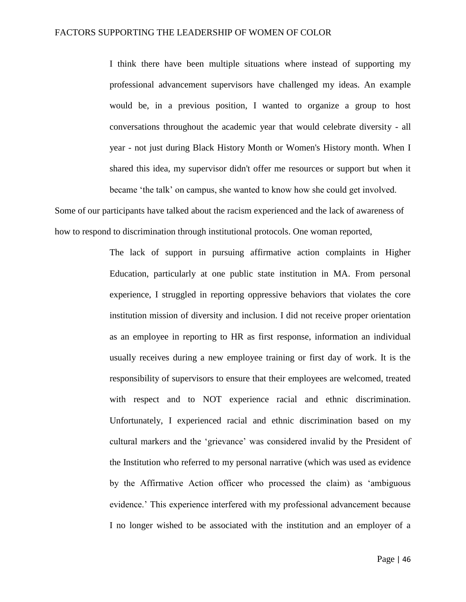I think there have been multiple situations where instead of supporting my professional advancement supervisors have challenged my ideas. An example would be, in a previous position, I wanted to organize a group to host conversations throughout the academic year that would celebrate diversity - all year - not just during Black History Month or Women's History month. When I shared this idea, my supervisor didn't offer me resources or support but when it became 'the talk' on campus, she wanted to know how she could get involved.

Some of our participants have talked about the racism experienced and the lack of awareness of how to respond to discrimination through institutional protocols. One woman reported,

> The lack of support in pursuing affirmative action complaints in Higher Education, particularly at one public state institution in MA. From personal experience, I struggled in reporting oppressive behaviors that violates the core institution mission of diversity and inclusion. I did not receive proper orientation as an employee in reporting to HR as first response, information an individual usually receives during a new employee training or first day of work. It is the responsibility of supervisors to ensure that their employees are welcomed, treated with respect and to NOT experience racial and ethnic discrimination. Unfortunately, I experienced racial and ethnic discrimination based on my cultural markers and the 'grievance' was considered invalid by the President of the Institution who referred to my personal narrative (which was used as evidence by the Affirmative Action officer who processed the claim) as 'ambiguous evidence.' This experience interfered with my professional advancement because I no longer wished to be associated with the institution and an employer of a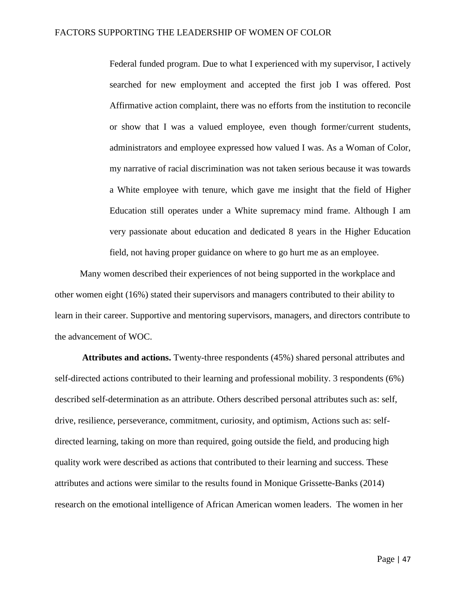Federal funded program. Due to what I experienced with my supervisor, I actively searched for new employment and accepted the first job I was offered. Post Affirmative action complaint, there was no efforts from the institution to reconcile or show that I was a valued employee, even though former/current students, administrators and employee expressed how valued I was. As a Woman of Color, my narrative of racial discrimination was not taken serious because it was towards a White employee with tenure, which gave me insight that the field of Higher Education still operates under a White supremacy mind frame. Although I am very passionate about education and dedicated 8 years in the Higher Education field, not having proper guidance on where to go hurt me as an employee.

 Many women described their experiences of not being supported in the workplace and other women eight (16%) stated their supervisors and managers contributed to their ability to learn in their career. Supportive and mentoring supervisors, managers, and directors contribute to the advancement of WOC.

**Attributes and actions.** Twenty-three respondents (45%) shared personal attributes and self-directed actions contributed to their learning and professional mobility. 3 respondents (6%) described self-determination as an attribute. Others described personal attributes such as: self, drive, resilience, perseverance, commitment, curiosity, and optimism, Actions such as: selfdirected learning, taking on more than required, going outside the field, and producing high quality work were described as actions that contributed to their learning and success. These attributes and actions were similar to the results found in Monique Grissette-Banks (2014) research on the emotional intelligence of African American women leaders. The women in her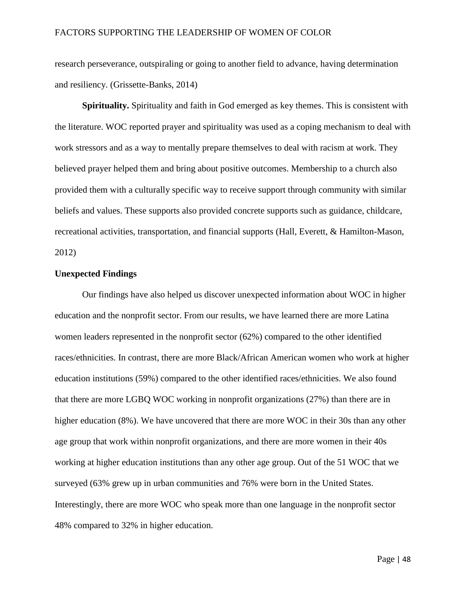research perseverance, outspiraling or going to another field to advance, having determination and resiliency. (Grissette-Banks, 2014)

**Spirituality.** Spirituality and faith in God emerged as key themes. This is consistent with the literature. WOC reported prayer and spirituality was used as a coping mechanism to deal with work stressors and as a way to mentally prepare themselves to deal with racism at work. They believed prayer helped them and bring about positive outcomes. Membership to a church also provided them with a culturally specific way to receive support through community with similar beliefs and values. These supports also provided concrete supports such as guidance, childcare, recreational activities, transportation, and financial supports (Hall, Everett, & Hamilton-Mason, 2012)

#### **Unexpected Findings**

Our findings have also helped us discover unexpected information about WOC in higher education and the nonprofit sector. From our results, we have learned there are more Latina women leaders represented in the nonprofit sector (62%) compared to the other identified races/ethnicities. In contrast, there are more Black/African American women who work at higher education institutions (59%) compared to the other identified races/ethnicities. We also found that there are more LGBQ WOC working in nonprofit organizations (27%) than there are in higher education (8%). We have uncovered that there are more WOC in their 30s than any other age group that work within nonprofit organizations, and there are more women in their 40s working at higher education institutions than any other age group. Out of the 51 WOC that we surveyed (63% grew up in urban communities and 76% were born in the United States. Interestingly, there are more WOC who speak more than one language in the nonprofit sector 48% compared to 32% in higher education.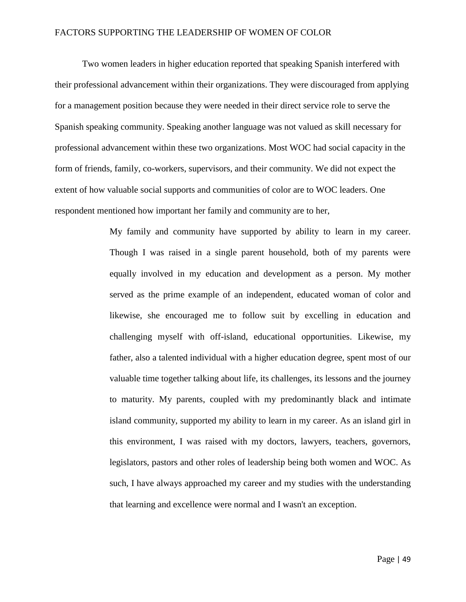Two women leaders in higher education reported that speaking Spanish interfered with their professional advancement within their organizations. They were discouraged from applying for a management position because they were needed in their direct service role to serve the Spanish speaking community. Speaking another language was not valued as skill necessary for professional advancement within these two organizations. Most WOC had social capacity in the form of friends, family, co-workers, supervisors, and their community. We did not expect the extent of how valuable social supports and communities of color are to WOC leaders. One respondent mentioned how important her family and community are to her,

> My family and community have supported by ability to learn in my career. Though I was raised in a single parent household, both of my parents were equally involved in my education and development as a person. My mother served as the prime example of an independent, educated woman of color and likewise, she encouraged me to follow suit by excelling in education and challenging myself with off-island, educational opportunities. Likewise, my father, also a talented individual with a higher education degree, spent most of our valuable time together talking about life, its challenges, its lessons and the journey to maturity. My parents, coupled with my predominantly black and intimate island community, supported my ability to learn in my career. As an island girl in this environment, I was raised with my doctors, lawyers, teachers, governors, legislators, pastors and other roles of leadership being both women and WOC. As such, I have always approached my career and my studies with the understanding that learning and excellence were normal and I wasn't an exception.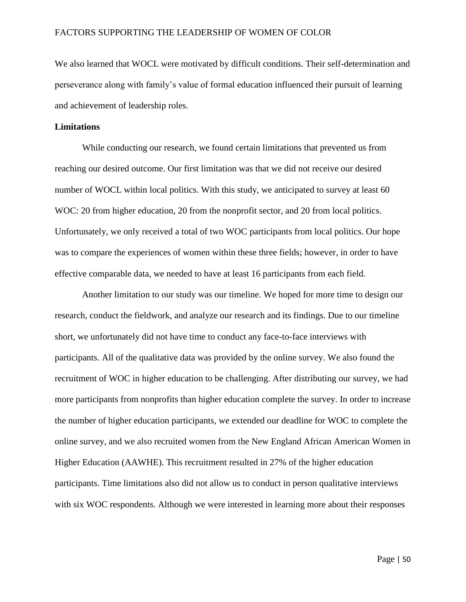We also learned that WOCL were motivated by difficult conditions. Their self-determination and perseverance along with family's value of formal education influenced their pursuit of learning and achievement of leadership roles.

#### **Limitations**

While conducting our research, we found certain limitations that prevented us from reaching our desired outcome. Our first limitation was that we did not receive our desired number of WOCL within local politics. With this study, we anticipated to survey at least 60 WOC: 20 from higher education, 20 from the nonprofit sector, and 20 from local politics. Unfortunately, we only received a total of two WOC participants from local politics. Our hope was to compare the experiences of women within these three fields; however, in order to have effective comparable data, we needed to have at least 16 participants from each field.

Another limitation to our study was our timeline. We hoped for more time to design our research, conduct the fieldwork, and analyze our research and its findings. Due to our timeline short, we unfortunately did not have time to conduct any face-to-face interviews with participants. All of the qualitative data was provided by the online survey. We also found the recruitment of WOC in higher education to be challenging. After distributing our survey, we had more participants from nonprofits than higher education complete the survey. In order to increase the number of higher education participants, we extended our deadline for WOC to complete the online survey, and we also recruited women from the New England African American Women in Higher Education (AAWHE). This recruitment resulted in 27% of the higher education participants. Time limitations also did not allow us to conduct in person qualitative interviews with six WOC respondents. Although we were interested in learning more about their responses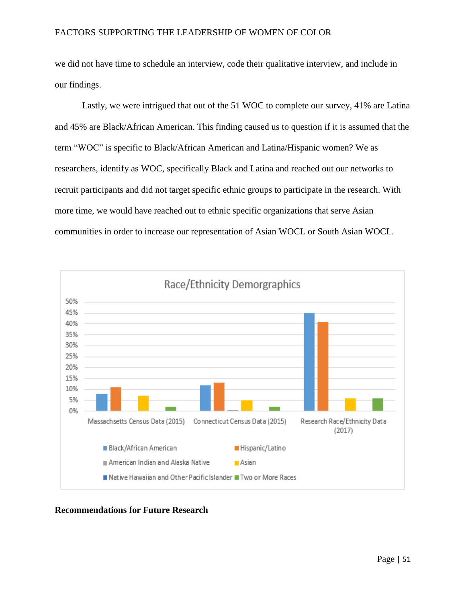we did not have time to schedule an interview, code their qualitative interview, and include in our findings.

Lastly, we were intrigued that out of the 51 WOC to complete our survey, 41% are Latina and 45% are Black/African American. This finding caused us to question if it is assumed that the term "WOC" is specific to Black/African American and Latina/Hispanic women? We as researchers, identify as WOC, specifically Black and Latina and reached out our networks to recruit participants and did not target specific ethnic groups to participate in the research. With more time, we would have reached out to ethnic specific organizations that serve Asian communities in order to increase our representation of Asian WOCL or South Asian WOCL.



# **Recommendations for Future Research**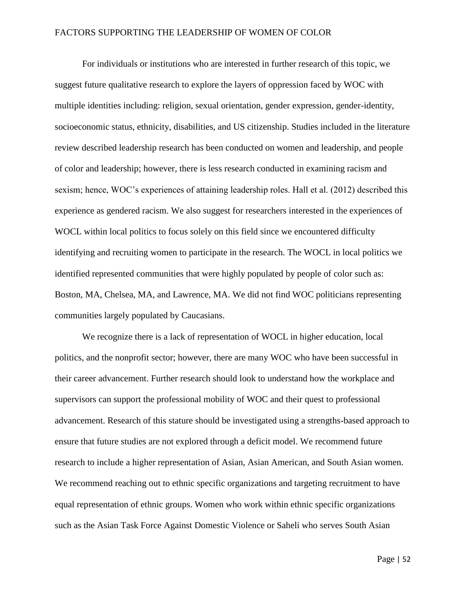For individuals or institutions who are interested in further research of this topic, we suggest future qualitative research to explore the layers of oppression faced by WOC with multiple identities including: religion, sexual orientation, gender expression, gender-identity, socioeconomic status, ethnicity, disabilities, and US citizenship. Studies included in the literature review described leadership research has been conducted on women and leadership, and people of color and leadership; however, there is less research conducted in examining racism and sexism; hence, WOC's experiences of attaining leadership roles. Hall et al. (2012) described this experience as gendered racism. We also suggest for researchers interested in the experiences of WOCL within local politics to focus solely on this field since we encountered difficulty identifying and recruiting women to participate in the research. The WOCL in local politics we identified represented communities that were highly populated by people of color such as: Boston, MA, Chelsea, MA, and Lawrence, MA. We did not find WOC politicians representing communities largely populated by Caucasians.

We recognize there is a lack of representation of WOCL in higher education, local politics, and the nonprofit sector; however, there are many WOC who have been successful in their career advancement. Further research should look to understand how the workplace and supervisors can support the professional mobility of WOC and their quest to professional advancement. Research of this stature should be investigated using a strengths-based approach to ensure that future studies are not explored through a deficit model. We recommend future research to include a higher representation of Asian, Asian American, and South Asian women. We recommend reaching out to ethnic specific organizations and targeting recruitment to have equal representation of ethnic groups. Women who work within ethnic specific organizations such as the Asian Task Force Against Domestic Violence or Saheli who serves South Asian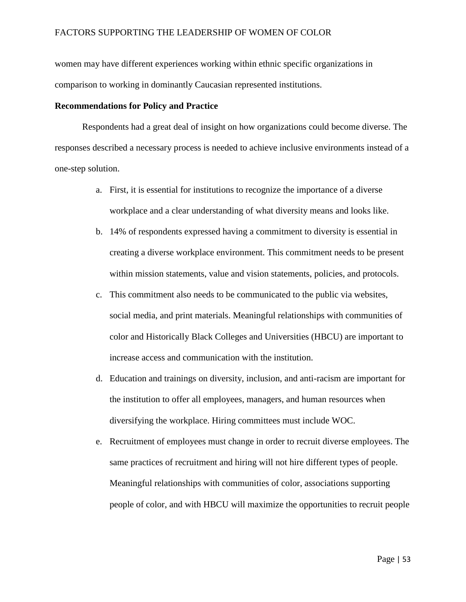women may have different experiences working within ethnic specific organizations in comparison to working in dominantly Caucasian represented institutions.

#### **Recommendations for Policy and Practice**

Respondents had a great deal of insight on how organizations could become diverse. The responses described a necessary process is needed to achieve inclusive environments instead of a one-step solution.

- a. First, it is essential for institutions to recognize the importance of a diverse workplace and a clear understanding of what diversity means and looks like.
- b. 14% of respondents expressed having a commitment to diversity is essential in creating a diverse workplace environment. This commitment needs to be present within mission statements, value and vision statements, policies, and protocols.
- c. This commitment also needs to be communicated to the public via websites, social media, and print materials. Meaningful relationships with communities of color and Historically Black Colleges and Universities (HBCU) are important to increase access and communication with the institution.
- d. Education and trainings on diversity, inclusion, and anti-racism are important for the institution to offer all employees, managers, and human resources when diversifying the workplace. Hiring committees must include WOC.
- e. Recruitment of employees must change in order to recruit diverse employees. The same practices of recruitment and hiring will not hire different types of people. Meaningful relationships with communities of color, associations supporting people of color, and with HBCU will maximize the opportunities to recruit people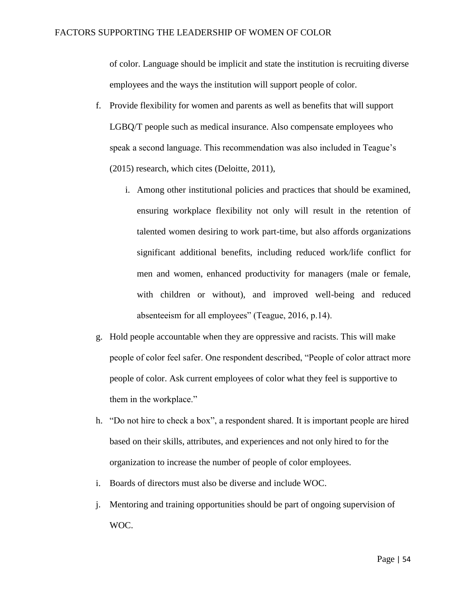of color. Language should be implicit and state the institution is recruiting diverse employees and the ways the institution will support people of color.

- f. Provide flexibility for women and parents as well as benefits that will support LGBQ/T people such as medical insurance. Also compensate employees who speak a second language. This recommendation was also included in Teague's (2015) research, which cites (Deloitte, 2011),
	- i. Among other institutional policies and practices that should be examined, ensuring workplace flexibility not only will result in the retention of talented women desiring to work part-time, but also affords organizations significant additional benefits, including reduced work/life conflict for men and women, enhanced productivity for managers (male or female, with children or without), and improved well-being and reduced absenteeism for all employees" (Teague, 2016, p.14).
- g. Hold people accountable when they are oppressive and racists. This will make people of color feel safer. One respondent described, "People of color attract more people of color. Ask current employees of color what they feel is supportive to them in the workplace."
- h. "Do not hire to check a box", a respondent shared. It is important people are hired based on their skills, attributes, and experiences and not only hired to for the organization to increase the number of people of color employees.
- i. Boards of directors must also be diverse and include WOC.
- j. Mentoring and training opportunities should be part of ongoing supervision of WOC.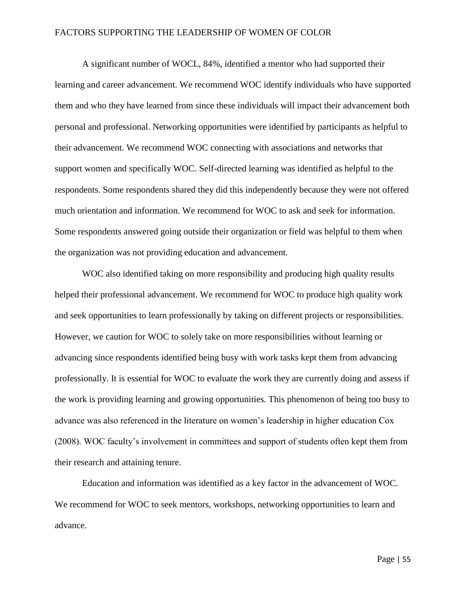A significant number of WOCL, 84%, identified a mentor who had supported their learning and career advancement. We recommend WOC identify individuals who have supported them and who they have learned from since these individuals will impact their advancement both personal and professional. Networking opportunities were identified by participants as helpful to their advancement. We recommend WOC connecting with associations and networks that support women and specifically WOC. Self-directed learning was identified as helpful to the respondents. Some respondents shared they did this independently because they were not offered much orientation and information. We recommend for WOC to ask and seek for information. Some respondents answered going outside their organization or field was helpful to them when the organization was not providing education and advancement.

WOC also identified taking on more responsibility and producing high quality results helped their professional advancement. We recommend for WOC to produce high quality work and seek opportunities to learn professionally by taking on different projects or responsibilities. However, we caution for WOC to solely take on more responsibilities without learning or advancing since respondents identified being busy with work tasks kept them from advancing professionally. It is essential for WOC to evaluate the work they are currently doing and assess if the work is providing learning and growing opportunities. This phenomenon of being too busy to advance was also referenced in the literature on women's leadership in higher education Cox (2008). WOC faculty's involvement in committees and support of students often kept them from their research and attaining tenure.

Education and information was identified as a key factor in the advancement of WOC. We recommend for WOC to seek mentors, workshops, networking opportunities to learn and advance.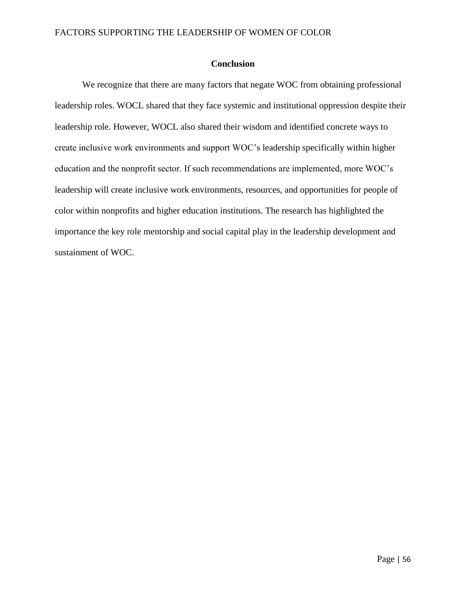### **Conclusion**

We recognize that there are many factors that negate WOC from obtaining professional leadership roles. WOCL shared that they face systemic and institutional oppression despite their leadership role. However, WOCL also shared their wisdom and identified concrete ways to create inclusive work environments and support WOC's leadership specifically within higher education and the nonprofit sector. If such recommendations are implemented, more WOC's leadership will create inclusive work environments, resources, and opportunities for people of color within nonprofits and higher education institutions. The research has highlighted the importance the key role mentorship and social capital play in the leadership development and sustainment of WOC.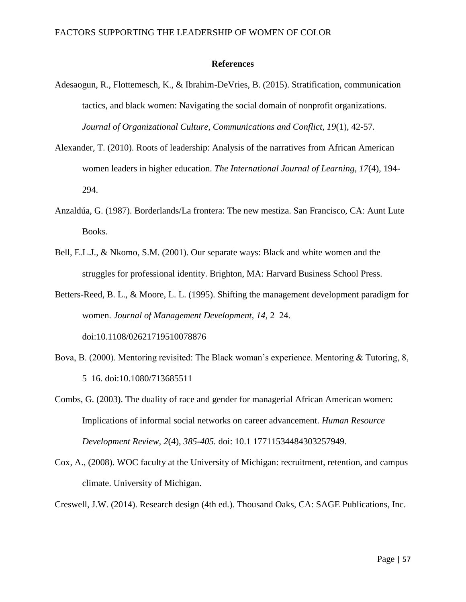#### **References**

- Adesaogun, R., Flottemesch, K., & Ibrahim-DeVries, B. (2015). Stratification, communication tactics, and black women: Navigating the social domain of nonprofit organizations. *Journal of Organizational Culture, Communications and Conflict, 19*(1), 42-57*.*
- Alexander, T. (2010). Roots of leadership: Analysis of the narratives from African American women leaders in higher education. *The International Journal of Learning, 17*(4)*,* 194- 294.
- Anzaldúa, G. (1987). Borderlands/La frontera: The new mestiza. San Francisco, CA: Aunt Lute Books.
- Bell, E.L.J., & Nkomo, S.M. (2001). Our separate ways: Black and white women and the struggles for professional identity. Brighton, MA: Harvard Business School Press.
- Betters-Reed, B. L., & Moore, L. L. (1995). Shifting the management development paradigm for women. *Journal of Management Development, 14,* 2–24.

doi:10.1108/02621719510078876

- Bova, B. (2000). Mentoring revisited: The Black woman's experience. Mentoring & Tutoring. 8. 5–16. doi:10.1080/713685511
- Combs, G. (2003). The duality of race and gender for managerial African American women: Implications of informal social networks on career advancement. *Human Resource Development Review, 2*(4), *385-405.* doi: 10.1 17711534484303257949.
- Cox, A., (2008). WOC faculty at the University of Michigan: recruitment, retention, and campus climate. University of Michigan.

Creswell, J.W. (2014). Research design (4th ed.). Thousand Oaks, CA: SAGE Publications, Inc.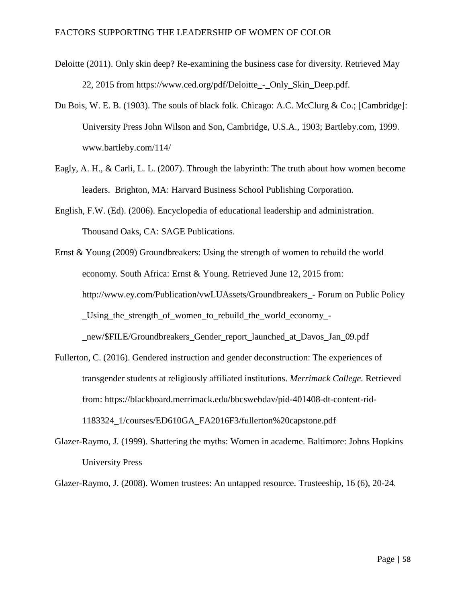- Deloitte (2011). Only skin deep? Re-examining the business case for diversity. Retrieved May 22, 2015 from https://www.ced.org/pdf/Deloitte - Only Skin Deep.pdf.
- Du Bois, W. E. B. (1903). The souls of black folk*.* Chicago: A.C. McClurg & Co.; [Cambridge]: University Press John Wilson and Son, Cambridge, U.S.A., 1903; Bartleby.com, 1999[.](http://www.bartleby.com/114/) [www.bartleby.com/114/](http://www.bartleby.com/114/)
- Eagly, A. H., & Carli, L. L. (2007). Through the labyrinth: The truth about how women become leaders. Brighton, MA: Harvard Business School Publishing Corporation.
- English, F.W. (Ed). (2006). Encyclopedia of educational leadership and administration. Thousand Oaks, CA: SAGE Publications.
- Ernst & Young (2009) Groundbreakers: Using the strength of women to rebuild the world economy. South Africa: Ernst & Young. Retrieved June 12, 2015 from: http://www.ey.com/Publication/vwLUAssets/Groundbreakers\_- Forum on Public Policy Using the strength of women to rebuild the world economy -\_new/\$FILE/Groundbreakers\_Gender\_report\_launched\_at\_Davos\_Jan\_09.pdf
- Fullerton, C. (2016). Gendered instruction and gender deconstruction: The experiences of transgender students at religiously affiliated institutions. *Merrimack College.* Retrieved from: [https://blackboard.merrimack.edu/bbcswebdav/pid-401408-dt-content-rid-](https://blackboard.merrimack.edu/bbcswebdav/pid-401408-dt-content-rid-1183324_1/courses/ED610GA_FA2016F3/fullerton%20capstone.pdf)[1183324\\_1/courses/ED610GA\\_FA2016F3/fullerton%20capstone.pdf](https://blackboard.merrimack.edu/bbcswebdav/pid-401408-dt-content-rid-1183324_1/courses/ED610GA_FA2016F3/fullerton%20capstone.pdf)
- Glazer-Raymo, J. (1999). Shattering the myths: Women in academe. Baltimore: Johns Hopkins University Press

[Glazer-Raymo, J. \(2008\). Women trustees: An untapped resource. Trusteeship, 16 \(6\), 20-24.](https://blackboard.merrimack.edu/bbcswebdav/pid-401408-dt-content-rid-1183324_1/courses/ED610GA_FA2016F3/fullerton%20capstone.pdf)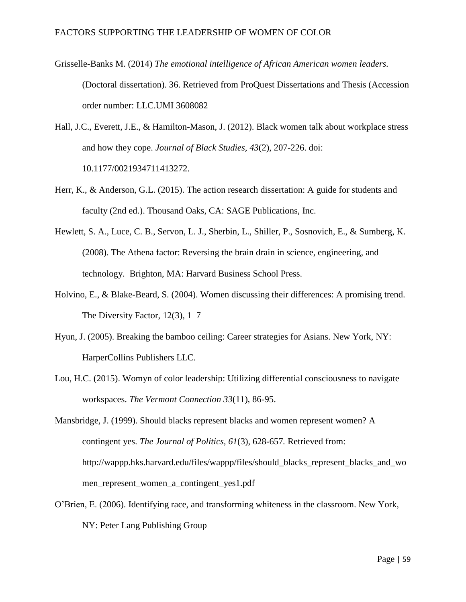Grisselle-Banks M. (2014) *[The emotional intelligence of African American women leaders.](https://blackboard.merrimack.edu/bbcswebdav/pid-401408-dt-content-rid-1183324_1/courses/ED610GA_FA2016F3/fullerton%20capstone.pdf)* [\(Doctoral dissertation\). 36. Retrieved from ProQuest Dissertations and Thesis \(Accession](https://blackboard.merrimack.edu/bbcswebdav/pid-401408-dt-content-rid-1183324_1/courses/ED610GA_FA2016F3/fullerton%20capstone.pdf)  [order number: LLC.UMI 3608082](https://blackboard.merrimack.edu/bbcswebdav/pid-401408-dt-content-rid-1183324_1/courses/ED610GA_FA2016F3/fullerton%20capstone.pdf)

Hall, J.C., Everett, J.E., & Hamilton-Mason, J. (2012). Black women talk about workplace stress and how they cope. *Journal of Black Studies, 43*(2), 207-226. doi: 10.1177/0021934711413272.

- Herr, K., & Anderson, G.L. (2015). The action research dissertation: A guide for students and faculty (2nd ed.). Thousand Oaks, CA: SAGE Publications, Inc.
- Hewlett, S. A., Luce, C. B., Servon, L. J., Sherbin, L., Shiller, P., Sosnovich, E., & Sumberg, K. (2008). The Athena factor: Reversing the brain drain in science, engineering, and technology. Brighton, MA: Harvard Business School Press.
- Holvino, E., & Blake-Beard, S. (2004). Women discussing their differences: A promising trend. The Diversity Factor, 12(3), 1–7
- Hyun, J. (2005). Breaking the bamboo ceiling: Career strategies for Asians. New York, NY: HarperCollins Publishers LLC.
- Lou, H.C. (2015). Womyn of color leadership: Utilizing differential consciousness to navigate workspaces. *The Vermont Connection 33*(11), 86-95.

Mansbridge, J. (1999). Should blacks represent blacks and women represent women? A contingent yes. *The Journal of Politics, 61*(3), 628-657*.* Retrieved from[:](http://wappp.hks.harvard.edu/files/wappp/files/should_blacks_represent_blacks_and_women_represent_women_a_contingent_yes1.pdf) [http://wappp.hks.harvard.edu/files/wappp/files/should\\_blacks\\_represent\\_blacks\\_and\\_wo](http://wappp.hks.harvard.edu/files/wappp/files/should_blacks_represent_blacks_and_women_represent_women_a_contingent_yes1.pdf) [men\\_represent\\_women\\_a\\_contingent\\_yes1.pdf](http://wappp.hks.harvard.edu/files/wappp/files/should_blacks_represent_blacks_and_women_represent_women_a_contingent_yes1.pdf)

O'Brien, E. (2006). Identifying race, and transforming whiteness in the classroom. New York, NY: Peter Lang Publishing Group